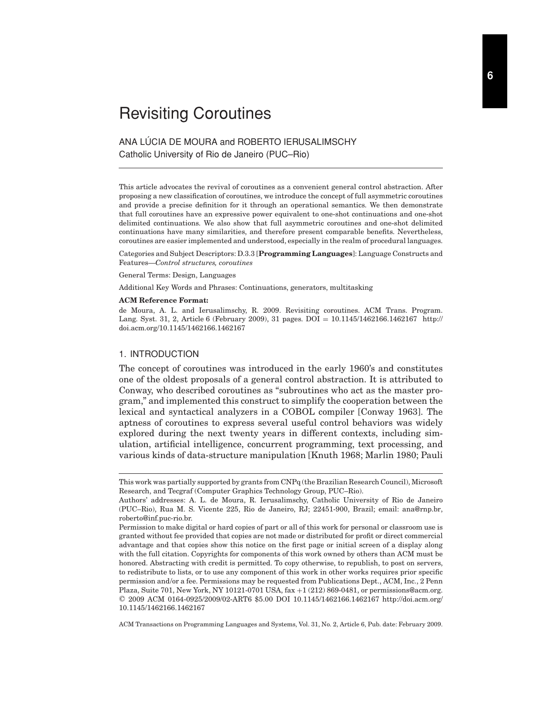# Revisiting Coroutines

ANA LÚCIA DE MOURA and ROBERTO IERUSALIMSCHY Catholic University of Rio de Janeiro (PUC–Rio)

This article advocates the revival of coroutines as a convenient general control abstraction. After proposing a new classification of coroutines, we introduce the concept of full asymmetric coroutines and provide a precise definition for it through an operational semantics. We then demonstrate that full coroutines have an expressive power equivalent to one-shot continuations and one-shot delimited continuations. We also show that full asymmetric coroutines and one-shot delimited continuations have many similarities, and therefore present comparable benefits. Nevertheless, coroutines are easier implemented and understood, especially in the realm of procedural languages.

Categories and Subject Descriptors: D.3.3 [**Programming Languages**]: Language Constructs and Features—*Control structures, coroutines*

General Terms: Design, Languages

Additional Key Words and Phrases: Continuations, generators, multitasking

#### **ACM Reference Format:**

de Moura, A. L. and Ierusalimschy, R. 2009. Revisiting coroutines. ACM Trans. Program. Lang. Syst. 31, 2, Article 6 (February 2009), 31 pages. DOI = 10.1145/1462166.1462167 http:// doi.acm.org/10.1145/1462166.1462167

### 1. INTRODUCTION

The concept of coroutines was introduced in the early 1960's and constitutes one of the oldest proposals of a general control abstraction. It is attributed to Conway, who described coroutines as "subroutines who act as the master program," and implemented this construct to simplify the cooperation between the lexical and syntactical analyzers in a COBOL compiler [Conway 1963]. The aptness of coroutines to express several useful control behaviors was widely explored during the next twenty years in different contexts, including simulation, artificial intelligence, concurrent programming, text processing, and various kinds of data-structure manipulation [Knuth 1968; Marlin 1980; Pauli

This work was partially supported by grants from CNPq (the Brazilian Research Council), Microsoft Research, and Tecgraf (Computer Graphics Technology Group, PUC–Rio).

Authors' addresses: A. L. de Moura, R. Ierusalimschy, Catholic University of Rio de Janeiro (PUC–Rio), Rua M. S. Vicente 225, Rio de Janeiro, RJ; 22451-900, Brazil; email: ana@rnp.br, roberto@inf.puc-rio.br.

Permission to make digital or hard copies of part or all of this work for personal or classroom use is granted without fee provided that copies are not made or distributed for profit or direct commercial advantage and that copies show this notice on the first page or initial screen of a display along with the full citation. Copyrights for components of this work owned by others than ACM must be honored. Abstracting with credit is permitted. To copy otherwise, to republish, to post on servers, to redistribute to lists, or to use any component of this work in other works requires prior specific permission and/or a fee. Permissions may be requested from Publications Dept., ACM, Inc., 2 Penn Plaza, Suite 701, New York, NY 10121-0701 USA, fax +1 (212) 869-0481, or permissions@acm.org. © 2009 ACM 0164-0925/2009/02-ART6 \$5.00 DOI 10.1145/1462166.1462167 http://doi.acm.org/ 10.1145/1462166.1462167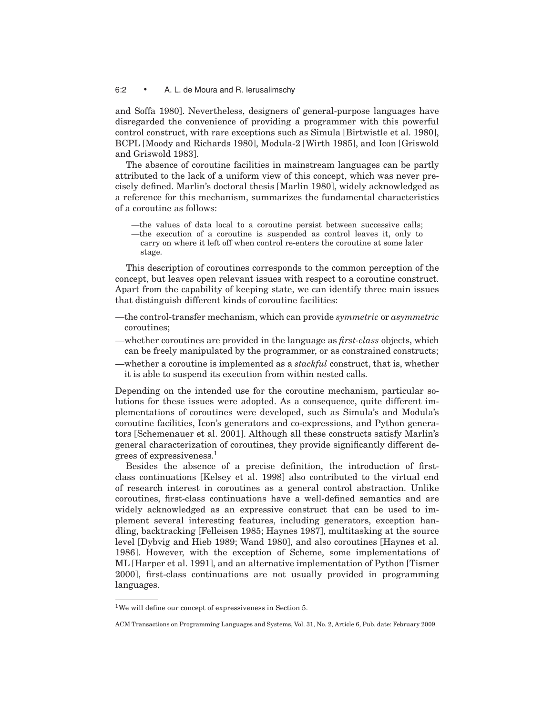### 6:2 • A. L. de Moura and R. Ierusalimschy

and Soffa 1980]. Nevertheless, designers of general-purpose languages have disregarded the convenience of providing a programmer with this powerful control construct, with rare exceptions such as Simula [Birtwistle et al. 1980], BCPL [Moody and Richards 1980], Modula-2 [Wirth 1985], and Icon [Griswold and Griswold 1983].

The absence of coroutine facilities in mainstream languages can be partly attributed to the lack of a uniform view of this concept, which was never precisely defined. Marlin's doctoral thesis [Marlin 1980], widely acknowledged as a reference for this mechanism, summarizes the fundamental characteristics of a coroutine as follows:

—the values of data local to a coroutine persist between successive calls; —the execution of a coroutine is suspended as control leaves it, only to carry on where it left off when control re-enters the coroutine at some later stage.

This description of coroutines corresponds to the common perception of the concept, but leaves open relevant issues with respect to a coroutine construct. Apart from the capability of keeping state, we can identify three main issues that distinguish different kinds of coroutine facilities:

- —the control-transfer mechanism, which can provide *symmetric* or *asymmetric* coroutines;
- —whether coroutines are provided in the language as *first-class* objects, which can be freely manipulated by the programmer, or as constrained constructs;
- —whether a coroutine is implemented as a *stackful* construct, that is, whether it is able to suspend its execution from within nested calls.

Depending on the intended use for the coroutine mechanism, particular solutions for these issues were adopted. As a consequence, quite different implementations of coroutines were developed, such as Simula's and Modula's coroutine facilities, Icon's generators and co-expressions, and Python generators [Schemenauer et al. 2001]. Although all these constructs satisfy Marlin's general characterization of coroutines, they provide significantly different degrees of expressiveness.<sup>1</sup>

Besides the absence of a precise definition, the introduction of firstclass continuations [Kelsey et al. 1998] also contributed to the virtual end of research interest in coroutines as a general control abstraction. Unlike coroutines, first-class continuations have a well-defined semantics and are widely acknowledged as an expressive construct that can be used to implement several interesting features, including generators, exception handling, backtracking [Felleisen 1985; Haynes 1987], multitasking at the source level [Dybvig and Hieb 1989; Wand 1980], and also coroutines [Haynes et al. 1986]. However, with the exception of Scheme, some implementations of ML [Harper et al. 1991], and an alternative implementation of Python [Tismer 2000], first-class continuations are not usually provided in programming languages.

<sup>1</sup>We will define our concept of expressiveness in Section 5.

ACM Transactions on Programming Languages and Systems, Vol. 31, No. 2, Article 6, Pub. date: February 2009.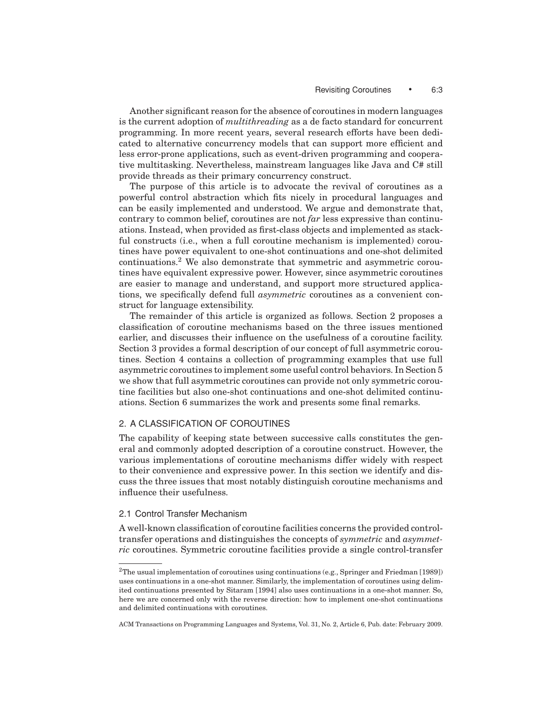Another significant reason for the absence of coroutines in modern languages is the current adoption of *multithreading* as a de facto standard for concurrent programming. In more recent years, several research efforts have been dedicated to alternative concurrency models that can support more efficient and less error-prone applications, such as event-driven programming and cooperative multitasking. Nevertheless, mainstream languages like Java and C# still provide threads as their primary concurrency construct.

The purpose of this article is to advocate the revival of coroutines as a powerful control abstraction which fits nicely in procedural languages and can be easily implemented and understood. We argue and demonstrate that, contrary to common belief, coroutines are not *far* less expressive than continuations. Instead, when provided as first-class objects and implemented as stackful constructs (i.e., when a full coroutine mechanism is implemented) coroutines have power equivalent to one-shot continuations and one-shot delimited continuations.<sup>2</sup> We also demonstrate that symmetric and asymmetric coroutines have equivalent expressive power. However, since asymmetric coroutines are easier to manage and understand, and support more structured applications, we specifically defend full *asymmetric* coroutines as a convenient construct for language extensibility.

The remainder of this article is organized as follows. Section 2 proposes a classification of coroutine mechanisms based on the three issues mentioned earlier, and discusses their influence on the usefulness of a coroutine facility. Section 3 provides a formal description of our concept of full asymmetric coroutines. Section 4 contains a collection of programming examples that use full asymmetric coroutines to implement some useful control behaviors. In Section 5 we show that full asymmetric coroutines can provide not only symmetric coroutine facilities but also one-shot continuations and one-shot delimited continuations. Section 6 summarizes the work and presents some final remarks.

### 2. A CLASSIFICATION OF COROUTINES

The capability of keeping state between successive calls constitutes the general and commonly adopted description of a coroutine construct. However, the various implementations of coroutine mechanisms differ widely with respect to their convenience and expressive power. In this section we identify and discuss the three issues that most notably distinguish coroutine mechanisms and influence their usefulness.

### 2.1 Control Transfer Mechanism

A well-known classification of coroutine facilities concerns the provided controltransfer operations and distinguishes the concepts of *symmetric* and *asymmetric* coroutines. Symmetric coroutine facilities provide a single control-transfer

<sup>2</sup>The usual implementation of coroutines using continuations (e.g., Springer and Friedman [1989]) uses continuations in a one-shot manner. Similarly, the implementation of coroutines using delimited continuations presented by Sitaram [1994] also uses continuations in a one-shot manner. So, here we are concerned only with the reverse direction: how to implement one-shot continuations and delimited continuations with coroutines.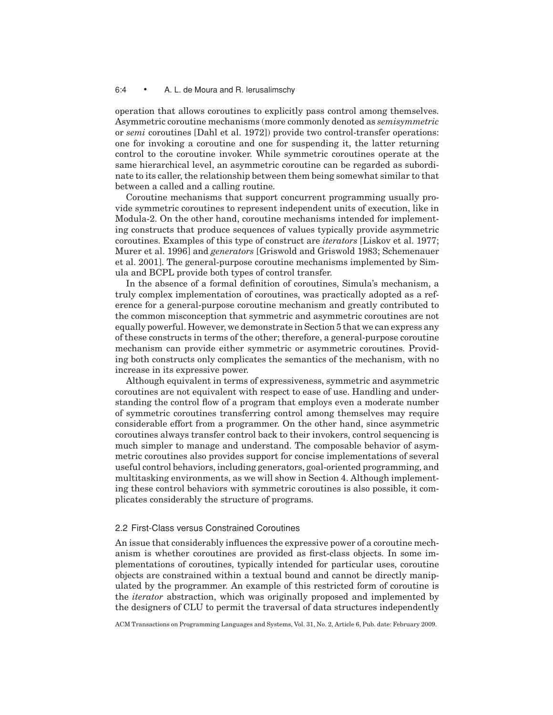### 6:4 • A. L. de Moura and R. Ierusalimschy

operation that allows coroutines to explicitly pass control among themselves. Asymmetric coroutine mechanisms (more commonly denoted as *semisymmetric* or *semi* coroutines [Dahl et al. 1972]) provide two control-transfer operations: one for invoking a coroutine and one for suspending it, the latter returning control to the coroutine invoker. While symmetric coroutines operate at the same hierarchical level, an asymmetric coroutine can be regarded as subordinate to its caller, the relationship between them being somewhat similar to that between a called and a calling routine.

Coroutine mechanisms that support concurrent programming usually provide symmetric coroutines to represent independent units of execution, like in Modula-2. On the other hand, coroutine mechanisms intended for implementing constructs that produce sequences of values typically provide asymmetric coroutines. Examples of this type of construct are *iterators* [Liskov et al. 1977; Murer et al. 1996] and *generators* [Griswold and Griswold 1983; Schemenauer et al. 2001]. The general-purpose coroutine mechanisms implemented by Simula and BCPL provide both types of control transfer.

In the absence of a formal definition of coroutines, Simula's mechanism, a truly complex implementation of coroutines, was practically adopted as a reference for a general-purpose coroutine mechanism and greatly contributed to the common misconception that symmetric and asymmetric coroutines are not equally powerful. However, we demonstrate in Section 5 that we can express any of these constructs in terms of the other; therefore, a general-purpose coroutine mechanism can provide either symmetric or asymmetric coroutines. Providing both constructs only complicates the semantics of the mechanism, with no increase in its expressive power.

Although equivalent in terms of expressiveness, symmetric and asymmetric coroutines are not equivalent with respect to ease of use. Handling and understanding the control flow of a program that employs even a moderate number of symmetric coroutines transferring control among themselves may require considerable effort from a programmer. On the other hand, since asymmetric coroutines always transfer control back to their invokers, control sequencing is much simpler to manage and understand. The composable behavior of asymmetric coroutines also provides support for concise implementations of several useful control behaviors, including generators, goal-oriented programming, and multitasking environments, as we will show in Section 4. Although implementing these control behaviors with symmetric coroutines is also possible, it complicates considerably the structure of programs.

# 2.2 First-Class versus Constrained Coroutines

An issue that considerably influences the expressive power of a coroutine mechanism is whether coroutines are provided as first-class objects. In some implementations of coroutines, typically intended for particular uses, coroutine objects are constrained within a textual bound and cannot be directly manipulated by the programmer. An example of this restricted form of coroutine is the *iterator* abstraction, which was originally proposed and implemented by the designers of CLU to permit the traversal of data structures independently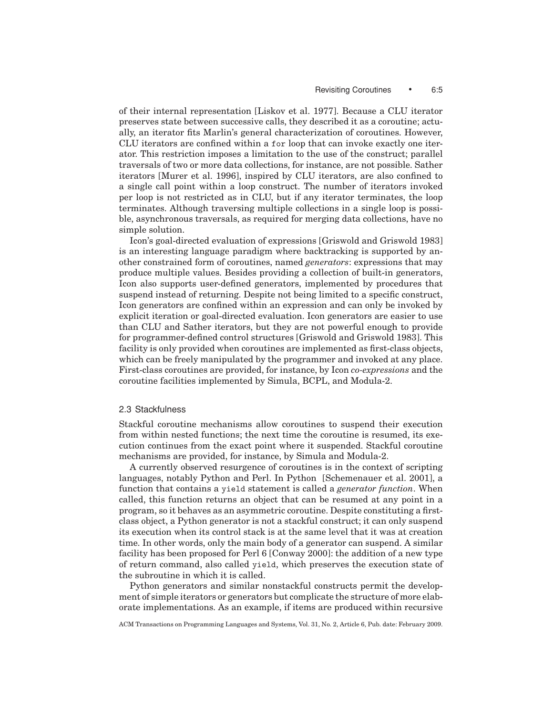of their internal representation [Liskov et al. 1977]. Because a CLU iterator preserves state between successive calls, they described it as a coroutine; actually, an iterator fits Marlin's general characterization of coroutines. However, CLU iterators are confined within a for loop that can invoke exactly one iterator. This restriction imposes a limitation to the use of the construct; parallel traversals of two or more data collections, for instance, are not possible. Sather iterators [Murer et al. 1996], inspired by CLU iterators, are also confined to a single call point within a loop construct. The number of iterators invoked per loop is not restricted as in CLU, but if any iterator terminates, the loop terminates. Although traversing multiple collections in a single loop is possible, asynchronous traversals, as required for merging data collections, have no simple solution.

Icon's goal-directed evaluation of expressions [Griswold and Griswold 1983] is an interesting language paradigm where backtracking is supported by another constrained form of coroutines, named *generators*: expressions that may produce multiple values. Besides providing a collection of built-in generators, Icon also supports user-defined generators, implemented by procedures that suspend instead of returning. Despite not being limited to a specific construct, Icon generators are confined within an expression and can only be invoked by explicit iteration or goal-directed evaluation. Icon generators are easier to use than CLU and Sather iterators, but they are not powerful enough to provide for programmer-defined control structures [Griswold and Griswold 1983]. This facility is only provided when coroutines are implemented as first-class objects, which can be freely manipulated by the programmer and invoked at any place. First-class coroutines are provided, for instance, by Icon *co-expressions* and the coroutine facilities implemented by Simula, BCPL, and Modula-2.

### 2.3 Stackfulness

Stackful coroutine mechanisms allow coroutines to suspend their execution from within nested functions; the next time the coroutine is resumed, its execution continues from the exact point where it suspended. Stackful coroutine mechanisms are provided, for instance, by Simula and Modula-2.

A currently observed resurgence of coroutines is in the context of scripting languages, notably Python and Perl. In Python [Schemenauer et al. 2001], a function that contains a yield statement is called a *generator function*. When called, this function returns an object that can be resumed at any point in a program, so it behaves as an asymmetric coroutine. Despite constituting a firstclass object, a Python generator is not a stackful construct; it can only suspend its execution when its control stack is at the same level that it was at creation time. In other words, only the main body of a generator can suspend. A similar facility has been proposed for Perl 6 [Conway 2000]: the addition of a new type of return command, also called yield, which preserves the execution state of the subroutine in which it is called.

Python generators and similar nonstackful constructs permit the development of simple iterators or generators but complicate the structure of more elaborate implementations. As an example, if items are produced within recursive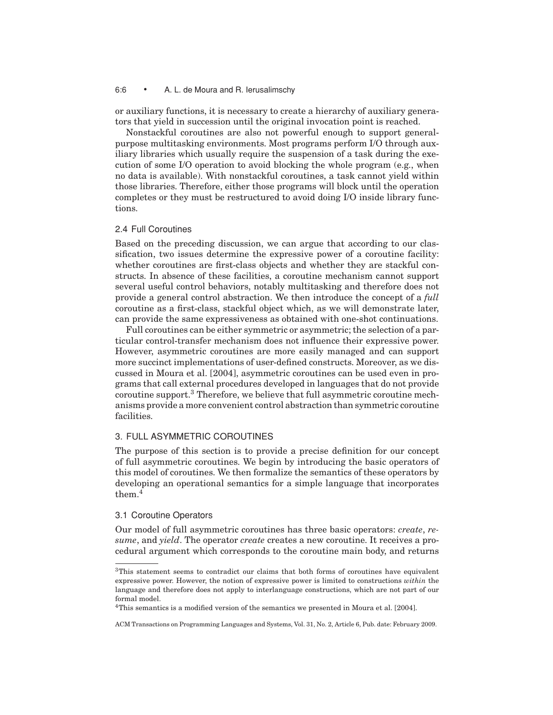#### 6:6 • A. L. de Moura and R. Ierusalimschy

or auxiliary functions, it is necessary to create a hierarchy of auxiliary generators that yield in succession until the original invocation point is reached.

Nonstackful coroutines are also not powerful enough to support generalpurpose multitasking environments. Most programs perform I/O through auxiliary libraries which usually require the suspension of a task during the execution of some I/O operation to avoid blocking the whole program (e.g., when no data is available). With nonstackful coroutines, a task cannot yield within those libraries. Therefore, either those programs will block until the operation completes or they must be restructured to avoid doing I/O inside library functions.

# 2.4 Full Coroutines

Based on the preceding discussion, we can argue that according to our classification, two issues determine the expressive power of a coroutine facility: whether coroutines are first-class objects and whether they are stackful constructs. In absence of these facilities, a coroutine mechanism cannot support several useful control behaviors, notably multitasking and therefore does not provide a general control abstraction. We then introduce the concept of a *full* coroutine as a first-class, stackful object which, as we will demonstrate later, can provide the same expressiveness as obtained with one-shot continuations.

Full coroutines can be either symmetric or asymmetric; the selection of a particular control-transfer mechanism does not influence their expressive power. However, asymmetric coroutines are more easily managed and can support more succinct implementations of user-defined constructs. Moreover, as we discussed in Moura et al. [2004], asymmetric coroutines can be used even in programs that call external procedures developed in languages that do not provide coroutine support.<sup>3</sup> Therefore, we believe that full asymmetric coroutine mechanisms provide a more convenient control abstraction than symmetric coroutine facilities.

# 3. FULL ASYMMETRIC COROUTINES

The purpose of this section is to provide a precise definition for our concept of full asymmetric coroutines. We begin by introducing the basic operators of this model of coroutines. We then formalize the semantics of these operators by developing an operational semantics for a simple language that incorporates them $4$ 

### 3.1 Coroutine Operators

Our model of full asymmetric coroutines has three basic operators: *create*, *resume*, and *yield*. The operator *create* creates a new coroutine. It receives a procedural argument which corresponds to the coroutine main body, and returns

<sup>3</sup>This statement seems to contradict our claims that both forms of coroutines have equivalent expressive power. However, the notion of expressive power is limited to constructions *within* the language and therefore does not apply to interlanguage constructions, which are not part of our formal model.

<sup>4</sup>This semantics is a modified version of the semantics we presented in Moura et al. [2004].

ACM Transactions on Programming Languages and Systems, Vol. 31, No. 2, Article 6, Pub. date: February 2009.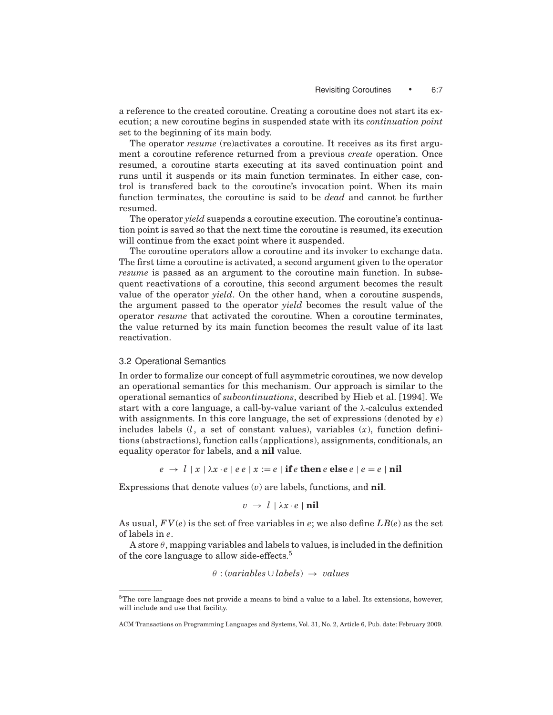a reference to the created coroutine. Creating a coroutine does not start its execution; a new coroutine begins in suspended state with its *continuation point* set to the beginning of its main body.

The operator *resume* (re)activates a coroutine. It receives as its first argument a coroutine reference returned from a previous *create* operation. Once resumed, a coroutine starts executing at its saved continuation point and runs until it suspends or its main function terminates. In either case, control is transfered back to the coroutine's invocation point. When its main function terminates, the coroutine is said to be *dead* and cannot be further resumed.

The operator *yield* suspends a coroutine execution. The coroutine's continuation point is saved so that the next time the coroutine is resumed, its execution will continue from the exact point where it suspended.

The coroutine operators allow a coroutine and its invoker to exchange data. The first time a coroutine is activated, a second argument given to the operator *resume* is passed as an argument to the coroutine main function. In subsequent reactivations of a coroutine, this second argument becomes the result value of the operator *yield*. On the other hand, when a coroutine suspends, the argument passed to the operator *yield* becomes the result value of the operator *resume* that activated the coroutine. When a coroutine terminates, the value returned by its main function becomes the result value of its last reactivation.

#### 3.2 Operational Semantics

In order to formalize our concept of full asymmetric coroutines, we now develop an operational semantics for this mechanism. Our approach is similar to the operational semantics of *subcontinuations*, described by Hieb et al. [1994]. We start with a core language, a call-by-value variant of the  $\lambda$ -calculus extended with assignments. In this core language, the set of expressions (denoted by *e*) includes labels (*l*, a set of constant values), variables (*x*), function definitions (abstractions), function calls (applications), assignments, conditionals, an equality operator for labels, and a **nil** value.

 $e \rightarrow l | x | \lambda x \cdot e | ee | x := e |$ **if**  $e$  **then**  $e$  **else**  $e | e = e |$ **nil** 

Expressions that denote values (*v*) are labels, functions, and **nil**.

$$
v \rightarrow l \mid \lambda x \cdot e \mid \textbf{nil}
$$

As usual,  $FV(e)$  is the set of free variables in  $e$ ; we also define  $LB(e)$  as the set of labels in *e*.

A store  $\theta$ , mapping variables and labels to values, is included in the definition of the core language to allow side-effects.<sup>5</sup>

θ : (*variables* ∪ *labels*) → *values*

 $5$ The core language does not provide a means to bind a value to a label. Its extensions, however, will include and use that facility.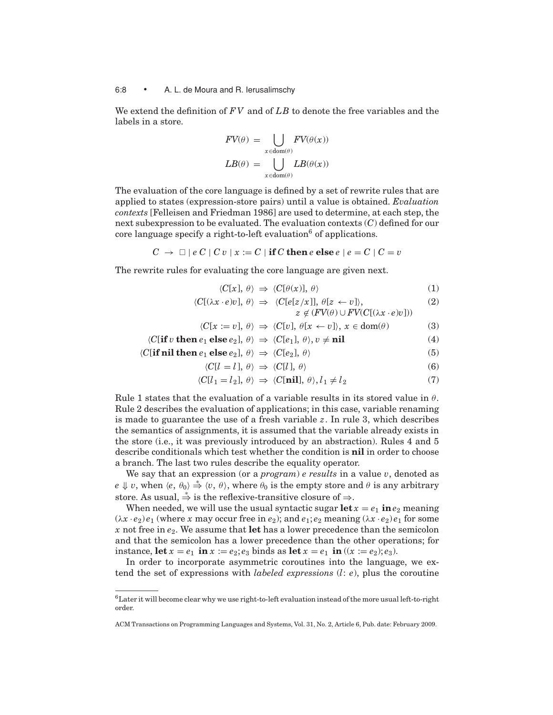### 6:8 • A. L. de Moura and R. Ierusalimschy

We extend the definition of *F V* and of *LB* to denote the free variables and the labels in a store.

$$
FV(\theta) = \bigcup_{x \in \text{dom}(\theta)} FV(\theta(x))
$$

$$
LB(\theta) = \bigcup_{x \in \text{dom}(\theta)} LB(\theta(x))
$$

The evaluation of the core language is defined by a set of rewrite rules that are applied to states (expression-store pairs) until a value is obtained. *Evaluation contexts* [Felleisen and Friedman 1986] are used to determine, at each step, the next subexpression to be evaluated. The evaluation contexts (*C*) defined for our core language specify a right-to-left evaluation<sup>6</sup> of applications.

$$
C \rightarrow \Box e C \mid C v \mid x := C \mid \textbf{if } C \textbf{ then } e \textbf{ else } e \mid e = C \mid C = v
$$

The rewrite rules for evaluating the core language are given next.

$$
\langle C[x], \theta \rangle \Rightarrow \langle C[\theta(x)], \theta \rangle \tag{1}
$$

$$
\langle C[(\lambda x \cdot e)v], \theta \rangle \implies \langle C[e[z/x]], \theta[z \leftarrow v], \tag{2}
$$

$$
z \notin (FV(\theta) \cup FV(C[(\lambda x \cdot e)v]))
$$

$$
\langle C[x := v], \theta \rangle \Rightarrow \langle C[v], \theta[x \leftarrow v], x \in \text{dom}(\theta) \tag{3}
$$

$$
\langle C[\text{if } v \text{ then } e_1 \text{ else } e_2], \theta \rangle \Rightarrow \langle C[e_1], \theta \rangle, v \neq \text{nil} \tag{4}
$$

 $\langle C[\textbf{if nil then } e_1 \textbf{ else } e_2], \theta \rangle \Rightarrow \langle C[e_2], \theta \rangle$  (5)

$$
\langle C[l = l], \theta \rangle \Rightarrow \langle C[l], \theta \rangle \tag{6}
$$

$$
\langle C[l_1 = l_2], \theta \rangle \Rightarrow \langle C[\textbf{nil}], \theta \rangle, l_1 \neq l_2 \tag{7}
$$

Rule 1 states that the evaluation of a variable results in its stored value in  $\theta$ . Rule 2 describes the evaluation of applications; in this case, variable renaming is made to guarantee the use of a fresh variable *z*. In rule 3, which describes the semantics of assignments, it is assumed that the variable already exists in the store (i.e., it was previously introduced by an abstraction). Rules 4 and 5 describe conditionals which test whether the condition is **nil** in order to choose a branch. The last two rules describe the equality operator.

We say that an expression (or a *program*) *e results* in a value *v*, denoted as  $e \Downarrow v$ , when  $\langle e, \theta_0 \rangle \stackrel{*}{\Rightarrow} \langle v, \theta \rangle$ , where  $\theta_0$  is the empty store and  $\theta$  is any arbitrary store. As usual,  $\stackrel{*}{\Rightarrow}$  is the reflexive-transitive closure of  $\Rightarrow$ .

When needed, we will use the usual syntactic sugar  $\text{let } x = e_1$  in  $e_2$  meaning  $(\lambda x \cdot e_2) e_1$  (where *x* may occur free in  $e_2$ ); and  $e_1$ ;  $e_2$  meaning  $(\lambda x \cdot e_2) e_1$  for some *x* not free in *e*2. We assume that **let** has a lower precedence than the semicolon and that the semicolon has a lower precedence than the other operations; for instance, **let**  $x = e_1$  **in**  $x := e_2$ ;  $e_3$  binds as **let**  $x = e_1$  **in**  $((x := e_2); e_3)$ .

In order to incorporate asymmetric coroutines into the language, we extend the set of expressions with *labeled expressions* (*l*: *e*), plus the coroutine

<sup>6</sup>Later it will become clear why we use right-to-left evaluation instead of the more usual left-to-right order.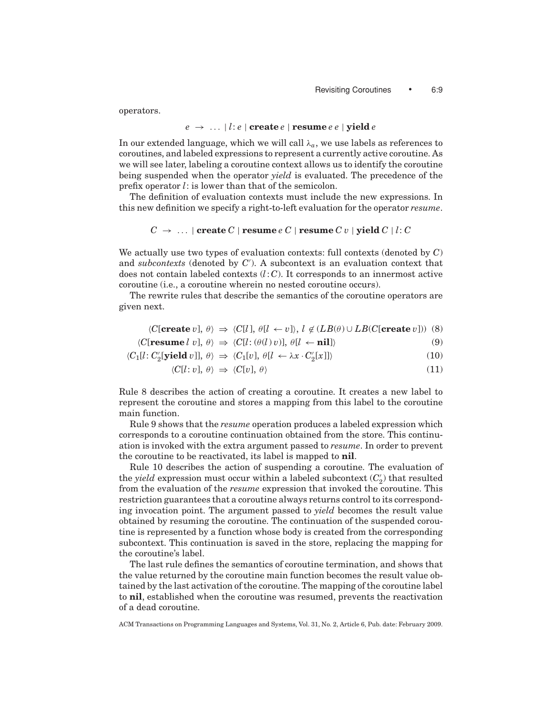operators.

### $e \rightarrow \ldots \mid l : e \mid \textbf{create} \mid e \mid \textbf{resume} \mid e \mid \textbf{yield} \mid e$

In our extended language, which we will call  $\lambda_a$ , we use labels as references to coroutines, and labeled expressions to represent a currently active coroutine. As we will see later, labeling a coroutine context allows us to identify the coroutine being suspended when the operator *yield* is evaluated. The precedence of the prefix operator *l*: is lower than that of the semicolon.

The definition of evaluation contexts must include the new expressions. In this new definition we specify a right-to-left evaluation for the operator *resume*.

### $C \rightarrow \ldots$  | **create**  $C \mid \textbf{resume} \, e \, C \mid \textbf{resume} \, C \, v \mid \textbf{yield} \, C \mid l : C$

We actually use two types of evaluation contexts: full contexts (denoted by *C*) and *subcontexts* (denoted by *C* ). A subcontext is an evaluation context that does not contain labeled contexts  $(l: C)$ . It corresponds to an innermost active coroutine (i.e., a coroutine wherein no nested coroutine occurs).

The rewrite rules that describe the semantics of the coroutine operators are given next.

| $\langle C[\text{create } v], \theta \rangle \Rightarrow \langle C[l], \theta[l \leftarrow v], l \notin (LB(\theta) \cup LB(C[\text{create } v]))$ (8) |     |
|--------------------------------------------------------------------------------------------------------------------------------------------------------|-----|
| $\langle C[\text{resume }l \ v], \ \theta \rangle \Rightarrow \langle C[l: (\theta(l) \ v)], \ \theta[l \leftarrow \textbf{nil}] \rangle$              | (9) |

$$
\langle C_1[l; C_2'[yield\, v]], \theta \rangle \Rightarrow \langle C_1[v], \theta[l \leftarrow \lambda x \cdot C_2'[x]] \rangle \tag{10}
$$

$$
\langle C[l; v], \theta \rangle \Rightarrow \langle C[v], \theta \rangle \tag{11}
$$

Rule 8 describes the action of creating a coroutine. It creates a new label to represent the coroutine and stores a mapping from this label to the coroutine main function.

Rule 9 shows that the *resume* operation produces a labeled expression which corresponds to a coroutine continuation obtained from the store. This continuation is invoked with the extra argument passed to *resume*. In order to prevent the coroutine to be reactivated, its label is mapped to **nil**.

Rule 10 describes the action of suspending a coroutine. The evaluation of the *yield* expression must occur within a labeled subcontext  $(C_2')$  that resulted from the evaluation of the *resume* expression that invoked the coroutine. This restriction guarantees that a coroutine always returns control to its corresponding invocation point. The argument passed to *yield* becomes the result value obtained by resuming the coroutine. The continuation of the suspended coroutine is represented by a function whose body is created from the corresponding subcontext. This continuation is saved in the store, replacing the mapping for the coroutine's label.

The last rule defines the semantics of coroutine termination, and shows that the value returned by the coroutine main function becomes the result value obtained by the last activation of the coroutine. The mapping of the coroutine label to **nil**, established when the coroutine was resumed, prevents the reactivation of a dead coroutine.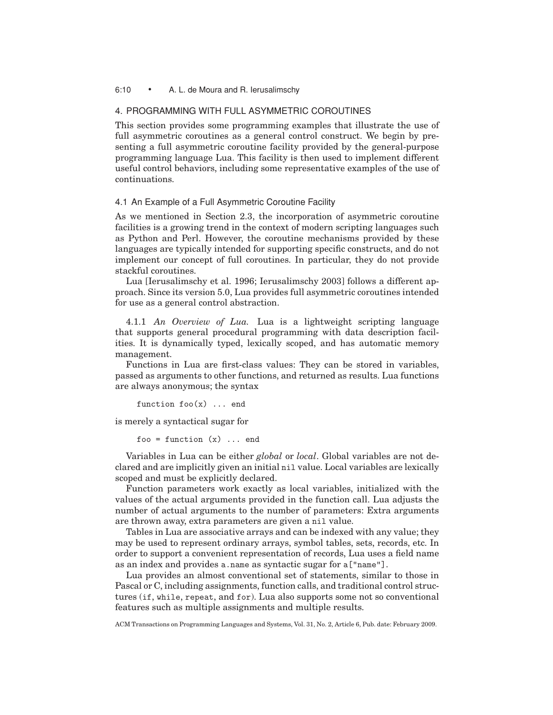### 6:10 • A. L. de Moura and R. Ierusalimschy

# 4. PROGRAMMING WITH FULL ASYMMETRIC COROUTINES

This section provides some programming examples that illustrate the use of full asymmetric coroutines as a general control construct. We begin by presenting a full asymmetric coroutine facility provided by the general-purpose programming language Lua. This facility is then used to implement different useful control behaviors, including some representative examples of the use of continuations.

### 4.1 An Example of a Full Asymmetric Coroutine Facility

As we mentioned in Section 2.3, the incorporation of asymmetric coroutine facilities is a growing trend in the context of modern scripting languages such as Python and Perl. However, the coroutine mechanisms provided by these languages are typically intended for supporting specific constructs, and do not implement our concept of full coroutines. In particular, they do not provide stackful coroutines.

Lua [Ierusalimschy et al. 1996; Ierusalimschy 2003] follows a different approach. Since its version 5.0, Lua provides full asymmetric coroutines intended for use as a general control abstraction.

4.1.1 *An Overview of Lua.* Lua is a lightweight scripting language that supports general procedural programming with data description facilities. It is dynamically typed, lexically scoped, and has automatic memory management.

Functions in Lua are first-class values: They can be stored in variables, passed as arguments to other functions, and returned as results. Lua functions are always anonymous; the syntax

```
function foo(x) ... end
```
is merely a syntactical sugar for

```
foo = function (x) ... end
```
Variables in Lua can be either *global* or *local*. Global variables are not declared and are implicitly given an initial nil value. Local variables are lexically scoped and must be explicitly declared.

Function parameters work exactly as local variables, initialized with the values of the actual arguments provided in the function call. Lua adjusts the number of actual arguments to the number of parameters: Extra arguments are thrown away, extra parameters are given a nil value.

Tables in Lua are associative arrays and can be indexed with any value; they may be used to represent ordinary arrays, symbol tables, sets, records, etc. In order to support a convenient representation of records, Lua uses a field name as an index and provides a.name as syntactic sugar for a["name"].

Lua provides an almost conventional set of statements, similar to those in Pascal or C, including assignments, function calls, and traditional control structures (if, while, repeat, and for). Lua also supports some not so conventional features such as multiple assignments and multiple results.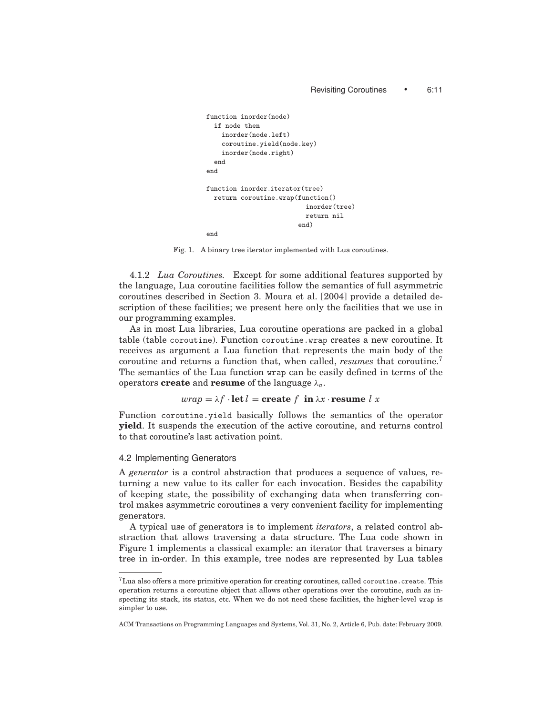```
function inorder(node)
  if node then
    inorder(node.left)
    coroutine.yield(node.key)
    inorder(node.right)
  end
end
function inorder iterator(tree)
  return coroutine.wrap(function()
                           inorder(tree)
                          return nil
                        end)
end
```
Fig. 1. A binary tree iterator implemented with Lua coroutines.

4.1.2 *Lua Coroutines.* Except for some additional features supported by the language, Lua coroutine facilities follow the semantics of full asymmetric coroutines described in Section 3. Moura et al. [2004] provide a detailed description of these facilities; we present here only the facilities that we use in our programming examples.

As in most Lua libraries, Lua coroutine operations are packed in a global table (table coroutine). Function coroutine.wrap creates a new coroutine. It receives as argument a Lua function that represents the main body of the coroutine and returns a function that, when called, *resumes* that coroutine.<sup>7</sup> The semantics of the Lua function wrap can be easily defined in terms of the operators **create** and **resume** of the language  $\lambda_a$ .

# $w \cdot \text{map} = \lambda f \cdot \text{let } l = \text{create } f \text{ in } \lambda x \cdot \text{resume } l x$

Function coroutine.yield basically follows the semantics of the operator **yield**. It suspends the execution of the active coroutine, and returns control to that coroutine's last activation point.

### 4.2 Implementing Generators

A *generator* is a control abstraction that produces a sequence of values, returning a new value to its caller for each invocation. Besides the capability of keeping state, the possibility of exchanging data when transferring control makes asymmetric coroutines a very convenient facility for implementing generators.

A typical use of generators is to implement *iterators*, a related control abstraction that allows traversing a data structure. The Lua code shown in Figure 1 implements a classical example: an iterator that traverses a binary tree in in-order. In this example, tree nodes are represented by Lua tables

 $7$ Lua also offers a more primitive operation for creating coroutines, called coroutine.create. This operation returns a coroutine object that allows other operations over the coroutine, such as inspecting its stack, its status, etc. When we do not need these facilities, the higher-level wrap is simpler to use.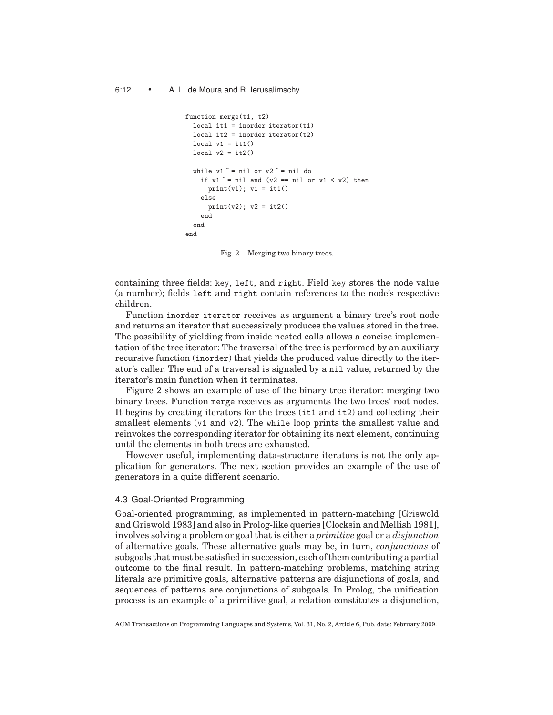```
function merge(t1, t2)
 local it1 = inorder_iterator(t1)
  local it2 = inorder_iterator(t2)
  local v1 = it1()local v2 = it2()while v1 \tilde{} = nil or v2 \tilde{} = nil do
    if v1 \tilde{} = nil and (v2 == nil or v1 < v2) then
      print(v1); v1 = it1()else
      print(v2); v2 = it2()end
  end
end
```
Fig. 2. Merging two binary trees.

containing three fields: key, left, and right. Field key stores the node value (a number); fields left and right contain references to the node's respective children.

Function inorder iterator receives as argument a binary tree's root node and returns an iterator that successively produces the values stored in the tree. The possibility of yielding from inside nested calls allows a concise implementation of the tree iterator: The traversal of the tree is performed by an auxiliary recursive function (inorder) that yields the produced value directly to the iterator's caller. The end of a traversal is signaled by a nil value, returned by the iterator's main function when it terminates.

Figure 2 shows an example of use of the binary tree iterator: merging two binary trees. Function merge receives as arguments the two trees' root nodes. It begins by creating iterators for the trees (it1 and it2) and collecting their smallest elements (v1 and v2). The while loop prints the smallest value and reinvokes the corresponding iterator for obtaining its next element, continuing until the elements in both trees are exhausted.

However useful, implementing data-structure iterators is not the only application for generators. The next section provides an example of the use of generators in a quite different scenario.

### 4.3 Goal-Oriented Programming

Goal-oriented programming, as implemented in pattern-matching [Griswold and Griswold 1983] and also in Prolog-like queries [Clocksin and Mellish 1981], involves solving a problem or goal that is either a *primitive* goal or a *disjunction* of alternative goals. These alternative goals may be, in turn, *conjunctions* of subgoals that must be satisfied in succession, each of them contributing a partial outcome to the final result. In pattern-matching problems, matching string literals are primitive goals, alternative patterns are disjunctions of goals, and sequences of patterns are conjunctions of subgoals. In Prolog, the unification process is an example of a primitive goal, a relation constitutes a disjunction,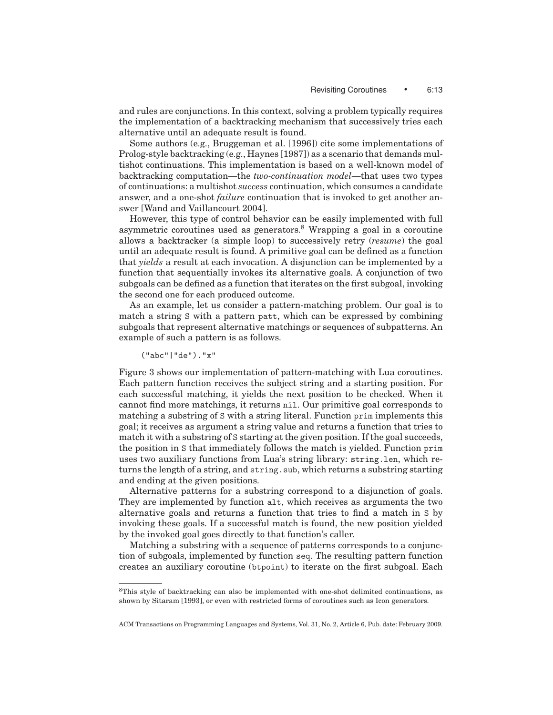and rules are conjunctions. In this context, solving a problem typically requires the implementation of a backtracking mechanism that successively tries each alternative until an adequate result is found.

Some authors (e.g., Bruggeman et al. [1996]) cite some implementations of Prolog-style backtracking (e.g., Haynes [1987]) as a scenario that demands multishot continuations. This implementation is based on a well-known model of backtracking computation—the *two-continuation model*—that uses two types of continuations: a multishot *success* continuation, which consumes a candidate answer, and a one-shot *failure* continuation that is invoked to get another answer [Wand and Vaillancourt 2004].

However, this type of control behavior can be easily implemented with full asymmetric coroutines used as generators.<sup>8</sup> Wrapping a goal in a coroutine allows a backtracker (a simple loop) to successively retry (*resume*) the goal until an adequate result is found. A primitive goal can be defined as a function that *yields* a result at each invocation. A disjunction can be implemented by a function that sequentially invokes its alternative goals. A conjunction of two subgoals can be defined as a function that iterates on the first subgoal, invoking the second one for each produced outcome.

As an example, let us consider a pattern-matching problem. Our goal is to match a string S with a pattern patt, which can be expressed by combining subgoals that represent alternative matchings or sequences of subpatterns. An example of such a pattern is as follows.

("abc"|"de")."x"

Figure 3 shows our implementation of pattern-matching with Lua coroutines. Each pattern function receives the subject string and a starting position. For each successful matching, it yields the next position to be checked. When it cannot find more matchings, it returns nil. Our primitive goal corresponds to matching a substring of S with a string literal. Function prim implements this goal; it receives as argument a string value and returns a function that tries to match it with a substring of S starting at the given position. If the goal succeeds, the position in S that immediately follows the match is yielded. Function prim uses two auxiliary functions from Lua's string library: string.len, which returns the length of a string, and string. sub, which returns a substring starting and ending at the given positions.

Alternative patterns for a substring correspond to a disjunction of goals. They are implemented by function alt, which receives as arguments the two alternative goals and returns a function that tries to find a match in S by invoking these goals. If a successful match is found, the new position yielded by the invoked goal goes directly to that function's caller.

Matching a substring with a sequence of patterns corresponds to a conjunction of subgoals, implemented by function seq. The resulting pattern function creates an auxiliary coroutine (btpoint) to iterate on the first subgoal. Each

<sup>8</sup>This style of backtracking can also be implemented with one-shot delimited continuations, as shown by Sitaram [1993], or even with restricted forms of coroutines such as Icon generators.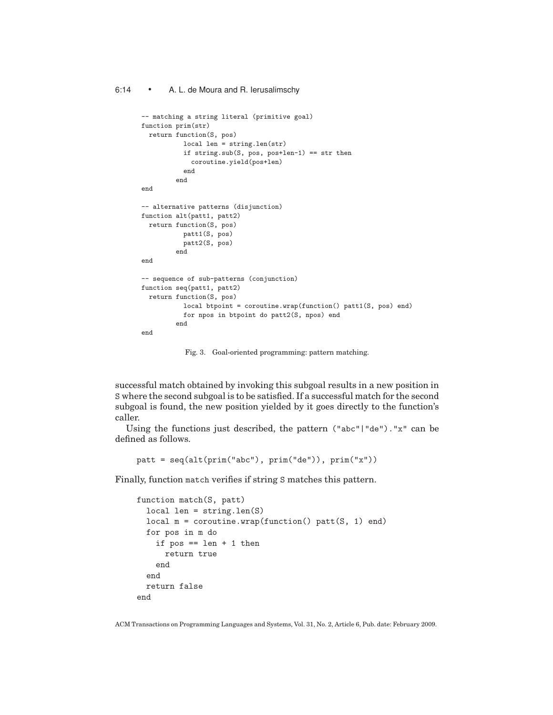```
6:14 • A. L. de Moura and R. Ierusalimschy
```

```
-- matching a string literal (primitive goal)
function prim(str)
 return function(S, pos)
          local len = string.len(str)
          if string.sub(S, pos, pos+len-1) == str then
             coroutine.yield(pos+len)
           end
         end
end
-- alternative patterns (disjunction)
function alt(patt1, patt2)
 return function(S, pos)
          patt1(S, pos)
          patt2(S, pos)
         end
end
-- sequence of sub-patterns (conjunction)
function seq(patt1, patt2)
 return function(S, pos)
          local btpoint = coroutine.wrap(function() patt1(S, pos) end)
          for npos in btpoint do patt2(S, npos) end
         end
end
```
Fig. 3. Goal-oriented programming: pattern matching.

successful match obtained by invoking this subgoal results in a new position in S where the second subgoal is to be satisfied. If a successful match for the second subgoal is found, the new position yielded by it goes directly to the function's caller.

Using the functions just described, the pattern ("abc"|"de")."x" can be defined as follows.

patt = seq(alt(prim("abc"), prim("de")), prim("x"))

Finally, function match verifies if string S matches this pattern.

```
function match(S, patt)
 local len = string.len(S)
 local m = coroutine.wrap(function() patt(S, 1) end)
 for pos in m do
    if pos == len + 1 then
      return true
    end
  end
  return false
end
```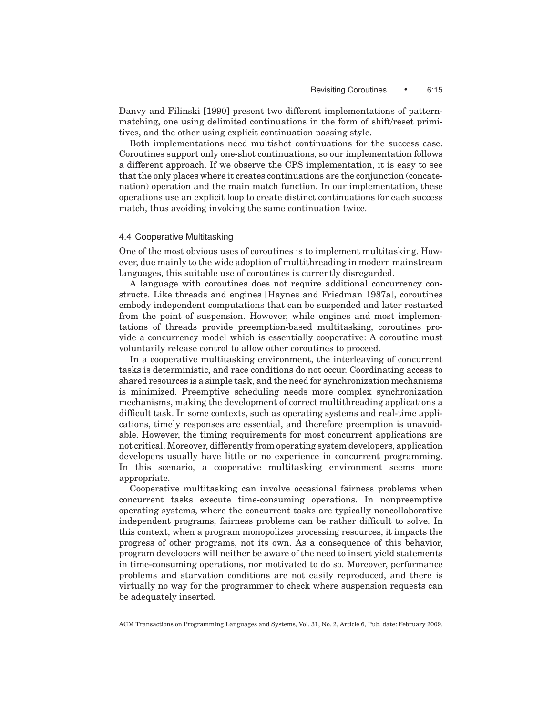Danvy and Filinski [1990] present two different implementations of patternmatching, one using delimited continuations in the form of shift/reset primitives, and the other using explicit continuation passing style.

Both implementations need multishot continuations for the success case. Coroutines support only one-shot continuations, so our implementation follows a different approach. If we observe the CPS implementation, it is easy to see that the only places where it creates continuations are the conjunction (concatenation) operation and the main match function. In our implementation, these operations use an explicit loop to create distinct continuations for each success match, thus avoiding invoking the same continuation twice.

### 4.4 Cooperative Multitasking

One of the most obvious uses of coroutines is to implement multitasking. However, due mainly to the wide adoption of multithreading in modern mainstream languages, this suitable use of coroutines is currently disregarded.

A language with coroutines does not require additional concurrency constructs. Like threads and engines [Haynes and Friedman 1987a], coroutines embody independent computations that can be suspended and later restarted from the point of suspension. However, while engines and most implementations of threads provide preemption-based multitasking, coroutines provide a concurrency model which is essentially cooperative: A coroutine must voluntarily release control to allow other coroutines to proceed.

In a cooperative multitasking environment, the interleaving of concurrent tasks is deterministic, and race conditions do not occur. Coordinating access to shared resources is a simple task, and the need for synchronization mechanisms is minimized. Preemptive scheduling needs more complex synchronization mechanisms, making the development of correct multithreading applications a difficult task. In some contexts, such as operating systems and real-time applications, timely responses are essential, and therefore preemption is unavoidable. However, the timing requirements for most concurrent applications are not critical. Moreover, differently from operating system developers, application developers usually have little or no experience in concurrent programming. In this scenario, a cooperative multitasking environment seems more appropriate.

Cooperative multitasking can involve occasional fairness problems when concurrent tasks execute time-consuming operations. In nonpreemptive operating systems, where the concurrent tasks are typically noncollaborative independent programs, fairness problems can be rather difficult to solve. In this context, when a program monopolizes processing resources, it impacts the progress of other programs, not its own. As a consequence of this behavior, program developers will neither be aware of the need to insert yield statements in time-consuming operations, nor motivated to do so. Moreover, performance problems and starvation conditions are not easily reproduced, and there is virtually no way for the programmer to check where suspension requests can be adequately inserted.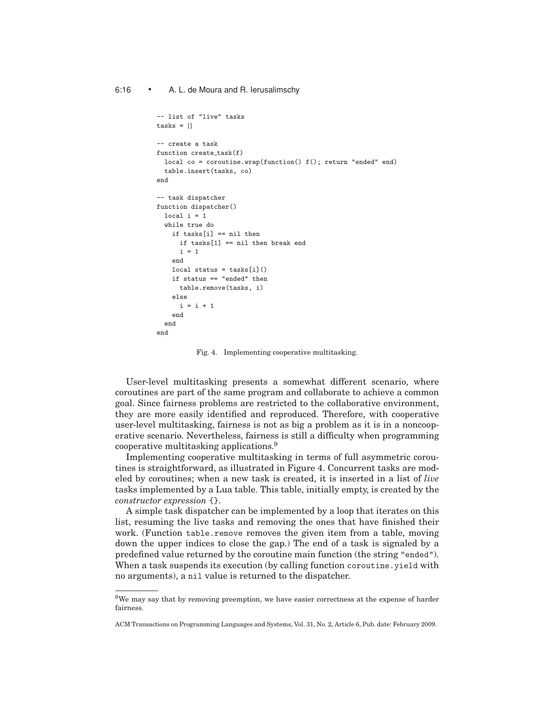#### 6:16 • A. L. de Moura and R. Ierusalimschy

```
-- list of "live" tasks
tasks = \{\}-- create a task
function create task(f)
 local co = coroutine.wrap(function() f(); return "ended" end)
 table.insert(tasks, co)
end
-- task dispatcher
function dispatcher()
 local i = 1while true do
    if tasks[i] == nil then
      if tasks[1] == nil then break end
     i = 1end
   local status = tasks[i]()if status == "ended" then
     table.remove(tasks, i)
    else
     i = i + 1end
  end
end
```
Fig. 4. Implementing cooperative multitasking.

User-level multitasking presents a somewhat different scenario, where coroutines are part of the same program and collaborate to achieve a common goal. Since fairness problems are restricted to the collaborative environment, they are more easily identified and reproduced. Therefore, with cooperative user-level multitasking, fairness is not as big a problem as it is in a noncooperative scenario. Nevertheless, fairness is still a difficulty when programming cooperative multitasking applications.<sup>9</sup>

Implementing cooperative multitasking in terms of full asymmetric coroutines is straightforward, as illustrated in Figure 4. Concurrent tasks are modeled by coroutines; when a new task is created, it is inserted in a list of *live* tasks implemented by a Lua table. This table, initially empty, is created by the *constructor expression* {}.

A simple task dispatcher can be implemented by a loop that iterates on this list, resuming the live tasks and removing the ones that have finished their work. (Function table.remove removes the given item from a table, moving down the upper indices to close the gap.) The end of a task is signaled by a predefined value returned by the coroutine main function (the string "ended"). When a task suspends its execution (by calling function coroutine.yield with no arguments), a nil value is returned to the dispatcher.

<sup>9</sup>We may say that by removing preemption, we have easier correctness at the expense of harder fairness.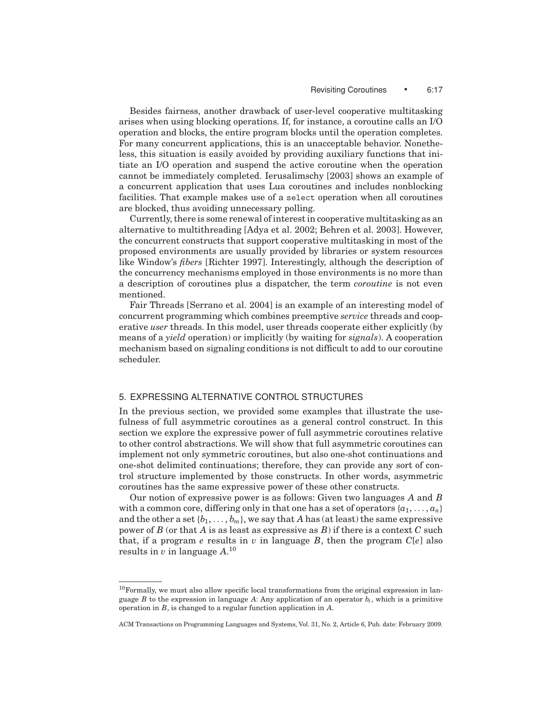#### Revisiting Coroutines • 6:17

Besides fairness, another drawback of user-level cooperative multitasking arises when using blocking operations. If, for instance, a coroutine calls an I/O operation and blocks, the entire program blocks until the operation completes. For many concurrent applications, this is an unacceptable behavior. Nonetheless, this situation is easily avoided by providing auxiliary functions that initiate an I/O operation and suspend the active coroutine when the operation cannot be immediately completed. Ierusalimschy [2003] shows an example of a concurrent application that uses Lua coroutines and includes nonblocking facilities. That example makes use of a select operation when all coroutines are blocked, thus avoiding unnecessary polling.

Currently, there is some renewal of interest in cooperative multitasking as an alternative to multithreading [Adya et al. 2002; Behren et al. 2003]. However, the concurrent constructs that support cooperative multitasking in most of the proposed environments are usually provided by libraries or system resources like Window's *fibers* [Richter 1997]. Interestingly, although the description of the concurrency mechanisms employed in those environments is no more than a description of coroutines plus a dispatcher, the term *coroutine* is not even mentioned.

Fair Threads [Serrano et al. 2004] is an example of an interesting model of concurrent programming which combines preemptive *service* threads and cooperative *user* threads. In this model, user threads cooperate either explicitly (by means of a *yield* operation) or implicitly (by waiting for *signals*). A cooperation mechanism based on signaling conditions is not difficult to add to our coroutine scheduler.

# 5. EXPRESSING ALTERNATIVE CONTROL STRUCTURES

In the previous section, we provided some examples that illustrate the usefulness of full asymmetric coroutines as a general control construct. In this section we explore the expressive power of full asymmetric coroutines relative to other control abstractions. We will show that full asymmetric coroutines can implement not only symmetric coroutines, but also one-shot continuations and one-shot delimited continuations; therefore, they can provide any sort of control structure implemented by those constructs. In other words, asymmetric coroutines has the same expressive power of these other constructs.

Our notion of expressive power is as follows: Given two languages *A* and *B* with a common core, differing only in that one has a set of operators  $\{a_1, \ldots, a_n\}$ and the other a set  $\{b_1, \ldots, b_m\}$ , we say that *A* has (at least) the same expressive power of *B* (or that *A* is as least as expressive as *B*) if there is a context *C* such that, if a program *e* results in *v* in language *B*, then the program  $C[e]$  also results in *v* in language *A*. 10

<sup>10</sup>Formally, we must also allow specific local transformations from the original expression in language *B* to the expression in language *A*: Any application of an operator *bi*, which is a primitive operation in *B*, is changed to a regular function application in *A*.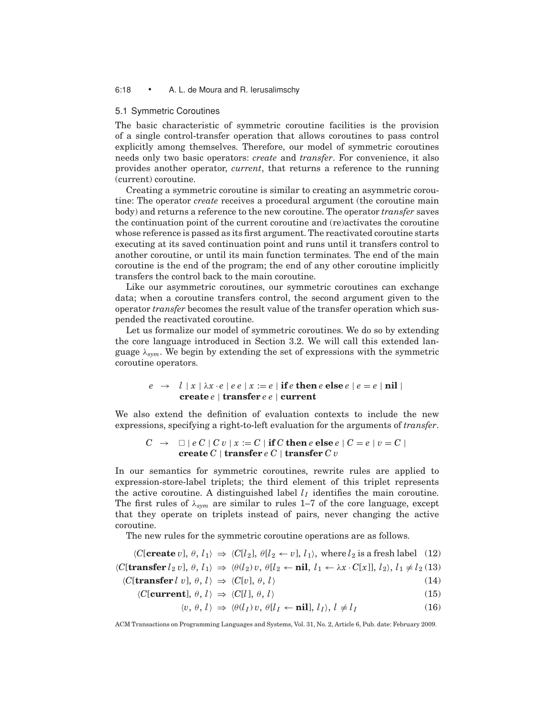### 6:18 • A. L. de Moura and R. Ierusalimschy

#### 5.1 Symmetric Coroutines

The basic characteristic of symmetric coroutine facilities is the provision of a single control-transfer operation that allows coroutines to pass control explicitly among themselves. Therefore, our model of symmetric coroutines needs only two basic operators: *create* and *transfer*. For convenience, it also provides another operator, *current*, that returns a reference to the running (current) coroutine.

Creating a symmetric coroutine is similar to creating an asymmetric coroutine: The operator *create* receives a procedural argument (the coroutine main body) and returns a reference to the new coroutine. The operator *transfer* saves the continuation point of the current coroutine and (re)activates the coroutine whose reference is passed as its first argument. The reactivated coroutine starts executing at its saved continuation point and runs until it transfers control to another coroutine, or until its main function terminates. The end of the main coroutine is the end of the program; the end of any other coroutine implicitly transfers the control back to the main coroutine.

Like our asymmetric coroutines, our symmetric coroutines can exchange data; when a coroutine transfers control, the second argument given to the operator *transfer* becomes the result value of the transfer operation which suspended the reactivated coroutine.

Let us formalize our model of symmetric coroutines. We do so by extending the core language introduced in Section 3.2. We will call this extended language  $\lambda_{sym}$ . We begin by extending the set of expressions with the symmetric coroutine operators.

$$
e \rightarrow l | x | \lambda x \cdot e | ee | x := e | if e \textbf{ then } e \textbf{ else } e | e = e | \textbf{ nil} |
$$
  
create  $e | \textbf{ transfer } e e | \textbf{ current}$ 

We also extend the definition of evaluation contexts to include the new expressions, specifying a right-to-left evaluation for the arguments of *transfer*.

$$
C \rightarrow \Box e C | C v | x := C | \textbf{if} C \textbf{ then } e \textbf{ else } e | C = e | v = C |
$$
  
**create** C | **transfer** c | **transfer** C v

In our semantics for symmetric coroutines, rewrite rules are applied to expression-store-label triplets; the third element of this triplet represents the active coroutine. A distinguished label  $l<sub>I</sub>$  identifies the main coroutine. The first rules of  $\lambda_{sym}$  are similar to rules 1–7 of the core language, except that they operate on triplets instead of pairs, never changing the active coroutine.

The new rules for the symmetric coroutine operations are as follows.

 $\langle C[\text{create } v], \theta, l_1 \rangle \Rightarrow \langle C[l_2], \theta[l_2 \leftarrow v], l_1 \rangle$ , where  $l_2$  is a fresh label (12)  $\langle C[\textbf{transfer} \, l_2 \, v], \, \theta, \, l_1 \rangle \Rightarrow \langle \theta(l_2) \, v, \, \theta(l_2 \leftarrow \textbf{nil}, \, l_1 \leftarrow \lambda x \cdot C[x]], \, l_2 \rangle, \, l_1 \neq l_2 \, (13)$ 

- $\langle C[$ **transfer**  $l$   $v$ ],  $\theta$ ,  $l$   $\rangle \Rightarrow \langle C[v], \theta$ ,  $l$   $\rangle$  (14)
	- $\langle C[\text{current}], \theta, l \rangle \Rightarrow \langle C[l], \theta, l \rangle$  (15)

$$
\langle v, \theta, l \rangle \Rightarrow \langle \theta(l_I) v, \theta(l_I \leftarrow \textbf{nil}], l_I \rangle, l \neq l_I
$$
 (16)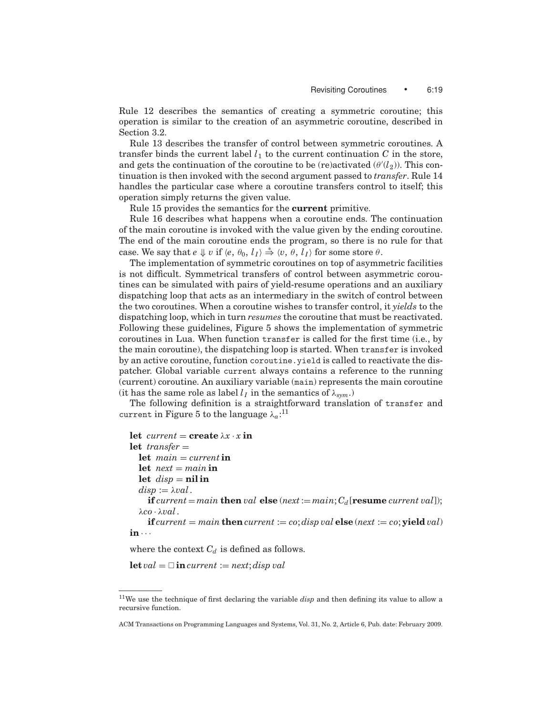Rule 12 describes the semantics of creating a symmetric coroutine; this operation is similar to the creation of an asymmetric coroutine, described in Section 3.2.

Rule 13 describes the transfer of control between symmetric coroutines. A transfer binds the current label  $l_1$  to the current continuation  $C$  in the store, and gets the continuation of the coroutine to be (re)activated  $(\theta'(l_2))$ . This continuation is then invoked with the second argument passed to *transfer*. Rule 14 handles the particular case where a coroutine transfers control to itself; this operation simply returns the given value.

Rule 15 provides the semantics for the **current** primitive.

Rule 16 describes what happens when a coroutine ends. The continuation of the main coroutine is invoked with the value given by the ending coroutine. The end of the main coroutine ends the program, so there is no rule for that case. We say that  $e \Downarrow v$  if  $\langle e, \theta_0, l_I \rangle \stackrel{*}{\Rightarrow} \langle v, \theta, l_I \rangle$  for some store  $\theta$ .

The implementation of symmetric coroutines on top of asymmetric facilities is not difficult. Symmetrical transfers of control between asymmetric coroutines can be simulated with pairs of yield-resume operations and an auxiliary dispatching loop that acts as an intermediary in the switch of control between the two coroutines. When a coroutine wishes to transfer control, it *yields* to the dispatching loop, which in turn *resumes* the coroutine that must be reactivated. Following these guidelines, Figure 5 shows the implementation of symmetric coroutines in Lua. When function transfer is called for the first time (i.e., by the main coroutine), the dispatching loop is started. When transfer is invoked by an active coroutine, function coroutine.yield is called to reactivate the dispatcher. Global variable current always contains a reference to the running (current) coroutine. An auxiliary variable (main) represents the main coroutine (it has the same role as label  $l_I$  in the semantics of  $\lambda_{sym}$ .)

The following definition is a straightforward translation of transfer and current in Figure 5 to the language  $\lambda_a$ :<sup>11</sup>

```
let current = \textbf{create} \lambda x \cdot x \textbf{in}let transfer =
  let main = currentin
  let next = main in
  let disp = nil in
  disp := \lambda val.if current = main then val else (next := main; C_d [resume current val]);
  λco · λval.
     if current = main then current := co; disp val else (next := co;yield val)
```
**in**···

where the context  $C_d$  is defined as follows.

 $\mathbf{let } val = \Box \mathbf{ in } \mathit{current} := \mathit{next}; \mathit{disp } \mathit{val}$ 

<sup>11</sup>We use the technique of first declaring the variable *disp* and then defining its value to allow a recursive function.

ACM Transactions on Programming Languages and Systems, Vol. 31, No. 2, Article 6, Pub. date: February 2009.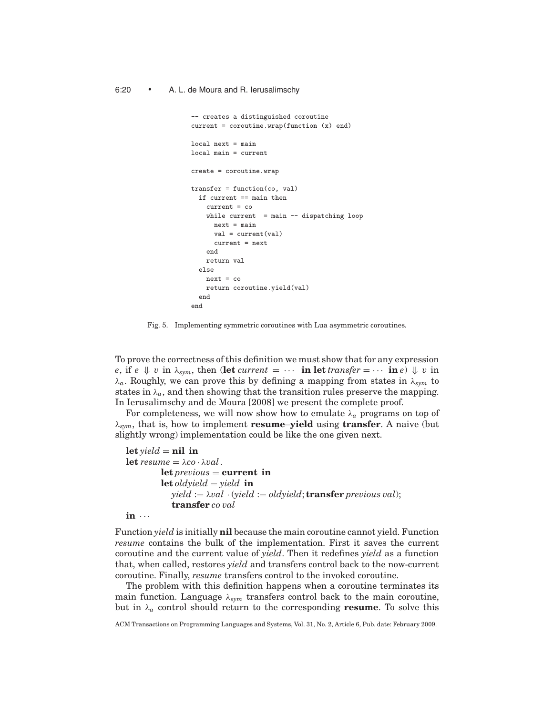6:20 • A. L. de Moura and R. Ierusalimschy

```
-- creates a distinguished coroutine
current = coroutine.wrap(function (x) end)
local next = mainlocal main = current
create = coroutine.wrap
transfer = function(co, val)if current == main then
    current = co
   while current = main - dispatching loop
     next = mainval = current(val)
      current = next
    end
   return val
  else
   next = coreturn coroutine.yield(val)
  end
end
```
Fig. 5. Implementing symmetric coroutines with Lua asymmetric coroutines.

To prove the correctness of this definition we must show that for any expression *e*, if  $e \Downarrow v$  in  $\lambda_{sym}$ , then (let *current* = ··· **in** let *transfer* = ··· **in**  $e) \Downarrow v$  in  $\lambda_a$ . Roughly, we can prove this by defining a mapping from states in  $\lambda_{sym}$  to states in  $\lambda_a$ , and then showing that the transition rules preserve the mapping. In Ierusalimschy and de Moura [2008] we present the complete proof.

For completeness, we will now show how to emulate  $\lambda_a$  programs on top of λ*sym*, that is, how to implement **resume**–**yield** using **transfer**. A naive (but slightly wrong) implementation could be like the one given next.

```
\text{let } yield = \textbf{nil} \textbf{in}let resume = \lambdaco \cdot \lambdaval.
            let previous = current in
            let \textit{oldyield} = \textit{yield} in
               yield := \lambda val \cdot (yield := oldyield;transfer previous val);
                transfer co val
in ···
```
Function *yield* is initially **nil** because the main coroutine cannot yield. Function *resume* contains the bulk of the implementation. First it saves the current coroutine and the current value of *yield*. Then it redefines *yield* as a function that, when called, restores *yield* and transfers control back to the now-current coroutine. Finally, *resume* transfers control to the invoked coroutine.

The problem with this definition happens when a coroutine terminates its main function. Language λ*sym* transfers control back to the main coroutine, but in  $\lambda_a$  control should return to the corresponding **resume**. To solve this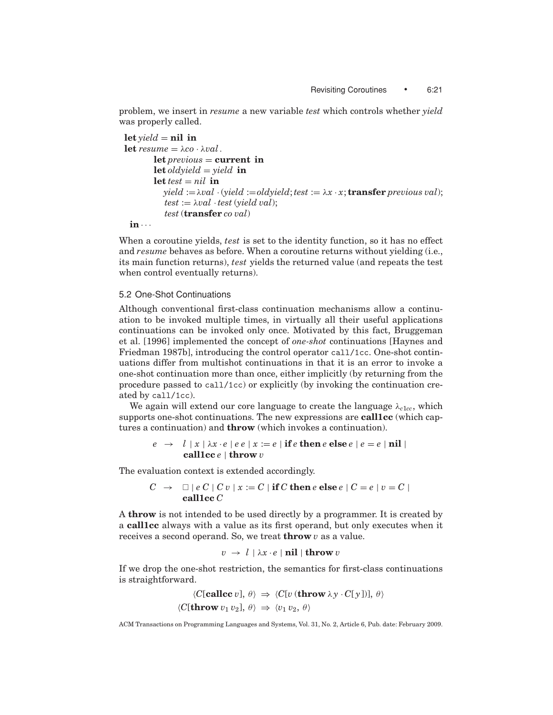problem, we insert in *resume* a new variable *test* which controls whether *yield* was properly called.

```
\text{let } yield = nil in
let \textit{resume} = \lambda \textit{co} \cdot \lambda \textit{val}.
           let previous = current in
           \text{let } oldyield = yield \text{ in}let \text{ } test = nil \text{ } inyield := \lambda val \cdot (yield := oldyield; test := \lambda x \cdot x; transfer previous val);
               test := \lambda val \cdot test (yield val);
               test (transfer co val)
  in···
```
When a coroutine yields, *test* is set to the identity function, so it has no effect and *resume* behaves as before. When a coroutine returns without yielding (i.e., its main function returns), *test* yields the returned value (and repeats the test when control eventually returns).

# 5.2 One-Shot Continuations

Although conventional first-class continuation mechanisms allow a continuation to be invoked multiple times, in virtually all their useful applications continuations can be invoked only once. Motivated by this fact, Bruggeman et al. [1996] implemented the concept of *one-shot* continuations [Haynes and Friedman 1987b], introducing the control operator call/1cc. One-shot continuations differ from multishot continuations in that it is an error to invoke a one-shot continuation more than once, either implicitly (by returning from the procedure passed to call/1cc) or explicitly (by invoking the continuation created by call/1cc).

We again will extend our core language to create the language  $\lambda_{c1cc}$ , which supports one-shot continuations. The new expressions are **call1cc** (which captures a continuation) and **throw** (which invokes a continuation).

$$
e \rightarrow l | x | \lambda x \cdot e | ee | x := e | if e then e else e | e = e | nil |
$$
  
calllec e | throw v

The evaluation context is extended accordingly.

$$
C \rightarrow \Box e C | C v | x := C | \textbf{if } C \textbf{ then } e \textbf{ else } e | C = e | v = C |
$$
  
calllec C

A **throw** is not intended to be used directly by a programmer. It is created by a **call1cc** always with a value as its first operand, but only executes when it receives a second operand. So, we treat **throw** *v* as a value.

$$
v \rightarrow l \mid \lambda x \cdot e \mid \textbf{nil} \mid \textbf{throw} \, v
$$

If we drop the one-shot restriction, the semantics for first-class continuations is straightforward.

$$
\langle C[\textbf{calculate } v], \theta \rangle \Rightarrow \langle C[v (\textbf{throw } \lambda y \cdot C[y])], \theta \rangle
$$
  

$$
\langle C[\textbf{throw } v_1 v_2], \theta \rangle \Rightarrow \langle v_1 v_2, \theta \rangle
$$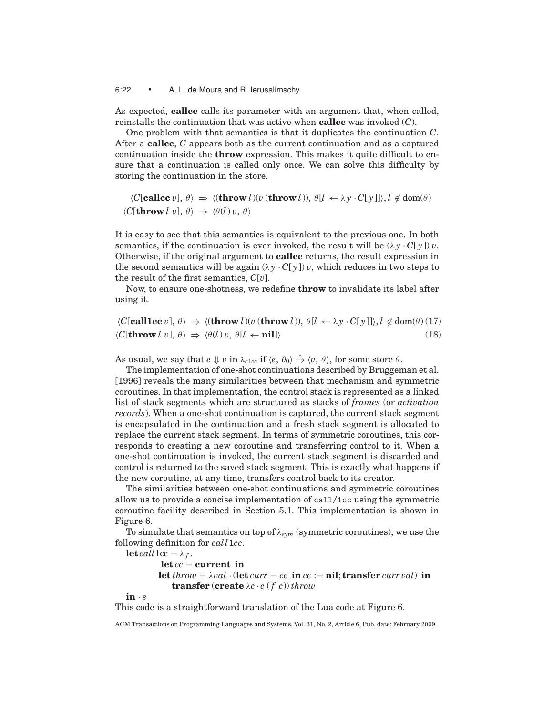### 6:22 • A. L. de Moura and R. Ierusalimschy

As expected, **callcc** calls its parameter with an argument that, when called, reinstalls the continuation that was active when **callcc** was invoked (*C*).

One problem with that semantics is that it duplicates the continuation *C*. After a **callcc**, *C* appears both as the current continuation and as a captured continuation inside the **throw** expression. This makes it quite difficult to ensure that a continuation is called only once. We can solve this difficulty by storing the continuation in the store.

 $\langle C[\textbf{calculate } v], \theta \rangle \Rightarrow \langle (\textbf{throw } l)(v(\textbf{throw } l)), \theta[l \leftarrow \lambda y \cdot C[y]] \rangle, l \notin \text{dom}(\theta)$  $\langle C[\textbf{throw } l \ v], \ \theta \rangle \Rightarrow \langle \theta(l) v, \ \theta \rangle$ 

It is easy to see that this semantics is equivalent to the previous one. In both semantics, if the continuation is ever invoked, the result will be  $(\lambda \gamma \cdot C[\gamma]) v$ . Otherwise, if the original argument to **callcc** returns, the result expression in the second semantics will be again  $(\lambda y \cdot C[y]) v$ , which reduces in two steps to the result of the first semantics, *C*[*v*].

Now, to ensure one-shotness, we redefine **throw** to invalidate its label after using it.

 $\langle C[\textbf{call} \textbf{loc} \, v], \, \theta \rangle \Rightarrow \langle (\textbf{throw } l) (v \, (\textbf{throw } l)), \, \theta[l \leftarrow \lambda y \cdot C[y]] \rangle, l \notin \text{dom}(\theta) \, (17)$  $\langle C[\textbf{throw } l \ v], \theta \rangle \Rightarrow \langle \theta(l) v, \theta[l \leftarrow \textbf{nil}] \rangle$  (18)

As usual, we say that  $e \Downarrow v$  in  $\lambda_{c1cc}$  if  $\langle e, \theta_0 \rangle \stackrel{*}{\Rightarrow} \langle v, \theta \rangle$ , for some store  $\theta$ .

The implementation of one-shot continuations described by Bruggeman et al. [1996] reveals the many similarities between that mechanism and symmetric coroutines. In that implementation, the control stack is represented as a linked list of stack segments which are structured as stacks of *frames* (or *activation records*). When a one-shot continuation is captured, the current stack segment is encapsulated in the continuation and a fresh stack segment is allocated to replace the current stack segment. In terms of symmetric coroutines, this corresponds to creating a new coroutine and transferring control to it. When a one-shot continuation is invoked, the current stack segment is discarded and control is returned to the saved stack segment. This is exactly what happens if the new coroutine, at any time, transfers control back to its creator.

The similarities between one-shot continuations and symmetric coroutines allow us to provide a concise implementation of call/1cc using the symmetric coroutine facility described in Section 5.1. This implementation is shown in Figure 6.

To simulate that semantics on top of  $\lambda_{sym}$  (symmetric coroutines), we use the following definition for *call*1*cc*.

**let** *call*1cc =  $\lambda_f$ .

```
let <math>cc</math> = current inlet throw = \lambda val \cdot (\textbf{let } curr = cc \textbf{ in } cc := \textbf{nil}; \textbf{transfer } curr val) \textbf{ in}transfer (create λc · c ( f c)) throw
```
**in** · *s*

This code is a straightforward translation of the Lua code at Figure 6.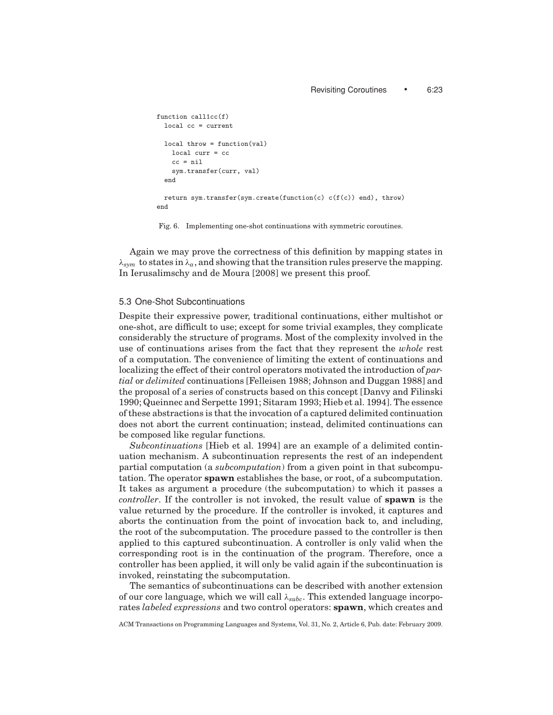```
function call1cc(f)
  local cc = current
  local throw = function(val)
    local curr = cc
    cc = nilsym.transfer(curr, val)
  end
  return sym.transfer(sym.create(function(c) c(f(c)) end), throw)
end
```
Fig. 6. Implementing one-shot continuations with symmetric coroutines.

Again we may prove the correctness of this definition by mapping states in  $\lambda_{sym}$  to states in  $\lambda_a$ , and showing that the transition rules preserve the mapping. In Ierusalimschy and de Moura [2008] we present this proof.

### 5.3 One-Shot Subcontinuations

Despite their expressive power, traditional continuations, either multishot or one-shot, are difficult to use; except for some trivial examples, they complicate considerably the structure of programs. Most of the complexity involved in the use of continuations arises from the fact that they represent the *whole* rest of a computation. The convenience of limiting the extent of continuations and localizing the effect of their control operators motivated the introduction of *partial* or *delimited* continuations [Felleisen 1988; Johnson and Duggan 1988] and the proposal of a series of constructs based on this concept [Danvy and Filinski 1990; Queinnec and Serpette 1991; Sitaram 1993; Hieb et al. 1994]. The essence of these abstractions is that the invocation of a captured delimited continuation does not abort the current continuation; instead, delimited continuations can be composed like regular functions.

*Subcontinuations* [Hieb et al. 1994] are an example of a delimited continuation mechanism. A subcontinuation represents the rest of an independent partial computation (a *subcomputation*) from a given point in that subcomputation. The operator **spawn** establishes the base, or root, of a subcomputation. It takes as argument a procedure (the subcomputation) to which it passes a *controller*. If the controller is not invoked, the result value of **spawn** is the value returned by the procedure. If the controller is invoked, it captures and aborts the continuation from the point of invocation back to, and including, the root of the subcomputation. The procedure passed to the controller is then applied to this captured subcontinuation. A controller is only valid when the corresponding root is in the continuation of the program. Therefore, once a controller has been applied, it will only be valid again if the subcontinuation is invoked, reinstating the subcomputation.

The semantics of subcontinuations can be described with another extension of our core language, which we will call λ*subc*. This extended language incorporates *labeled expressions* and two control operators: **spawn**, which creates and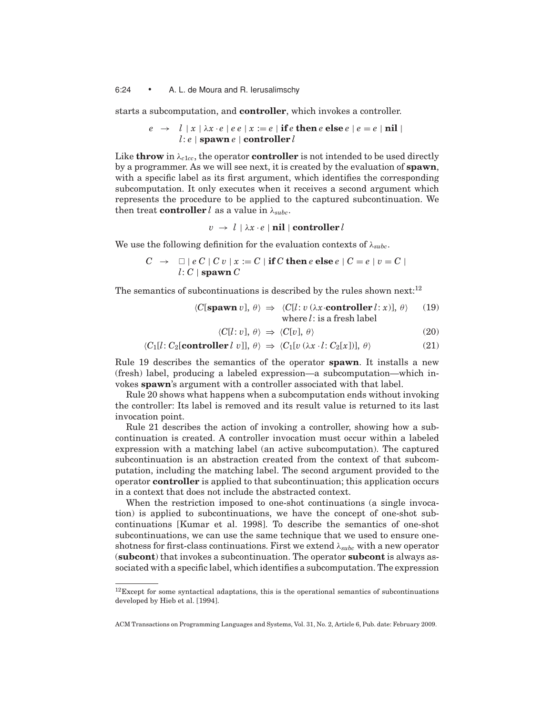6:24 • A. L. de Moura and R. Ierusalimschy

starts a subcomputation, and **controller**, which invokes a controller.

 $e \rightarrow l | x | \lambda x \cdot e | ee | x := e | \textbf{if} e \textbf{ then } e \textbf{ else } e | e = e | \textbf{nil} |$ *l*: *e* | **spawn** *e* | **controller** *l*

Like **throw** in  $\lambda_{c1cc}$ , the operator **controller** is not intended to be used directly by a programmer. As we will see next, it is created by the evaluation of **spawn**, with a specific label as its first argument, which identifies the corresponding subcomputation. It only executes when it receives a second argument which represents the procedure to be applied to the captured subcontinuation. We then treat **controller** *l* as a value in  $\lambda_{subc}$ .

 $v \rightarrow l \mid \lambda x \cdot e \mid \textbf{nil} \mid \textbf{controller} \, l$ 

We use the following definition for the evaluation contexts of λ*subc*.

$$
C \rightarrow \Box e C | C v | x := C | \textbf{if } C \textbf{ then } e \textbf{ else } e | C = e | v = C |
$$
  
 
$$
l: C | \textbf{spam } C
$$

The semantics of subcontinuations is described by the rules shown next: $12$ 

$$
\langle C[\text{spawn } v], \theta \rangle \Rightarrow \langle C[l: v \ (\lambda x \cdot \text{controller } l: x)], \theta \rangle \qquad (19)
$$
\n
$$
\text{where } l: \text{is a fresh label}
$$

$$
\langle C[l; v], \theta \rangle \Rightarrow \langle C[v], \theta \rangle \tag{20}
$$

$$
\langle C_1[l:C_2[\textbf{controller }l\ v]],\ \theta\rangle \ \Rightarrow \ \langle C_1[v\ (\lambda x\ \cdot l:C_2[x])],\ \theta\rangle \tag{21}
$$

Rule 19 describes the semantics of the operator **spawn**. It installs a new (fresh) label, producing a labeled expression—a subcomputation—which invokes **spawn**'s argument with a controller associated with that label.

Rule 20 shows what happens when a subcomputation ends without invoking the controller: Its label is removed and its result value is returned to its last invocation point.

Rule 21 describes the action of invoking a controller, showing how a subcontinuation is created. A controller invocation must occur within a labeled expression with a matching label (an active subcomputation). The captured subcontinuation is an abstraction created from the context of that subcomputation, including the matching label. The second argument provided to the operator **controller** is applied to that subcontinuation; this application occurs in a context that does not include the abstracted context.

When the restriction imposed to one-shot continuations (a single invocation) is applied to subcontinuations, we have the concept of one-shot subcontinuations [Kumar et al. 1998]. To describe the semantics of one-shot subcontinuations, we can use the same technique that we used to ensure oneshotness for first-class continuations. First we extend λ*subc* with a new operator (**subcont**) that invokes a subcontinuation. The operator **subcont** is always associated with a specific label, which identifies a subcomputation. The expression

 $12$ Except for some syntactical adaptations, this is the operational semantics of subcontinuations developed by Hieb et al. [1994].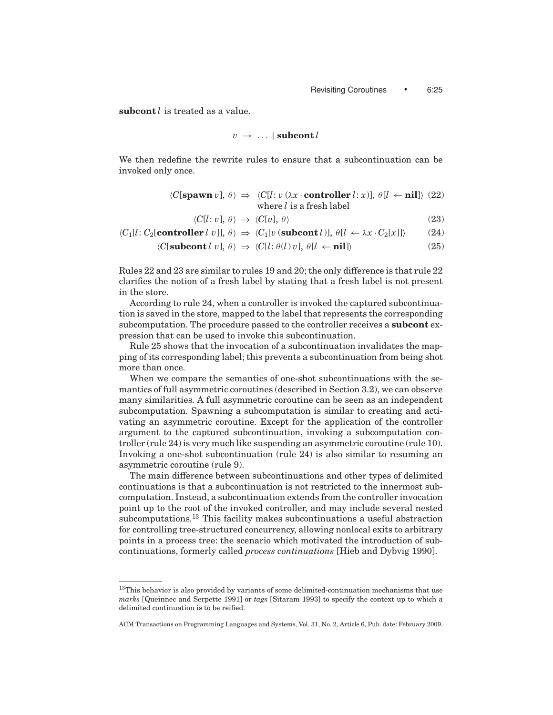**subcont** *l* is treated as a value.

$$
v \rightarrow \ldots \mid \textbf{subcont} \, l
$$

We then redefine the rewrite rules to ensure that a subcontinuation can be invoked only once.

$$
\langle C[\mathbf{spawn}\,v], \theta \rangle \Rightarrow \langle C[l: v \, (\lambda x \cdot \mathbf{controller}\, l: x)], \theta[l \leftarrow \mathbf{nil}] \rangle \tag{22}
$$
\n
$$
\text{where } l \text{ is a fresh label}
$$

$$
\langle C[l; v], \theta \rangle \Rightarrow \langle C[v], \theta \rangle \tag{23}
$$

$$
\langle C_1[l:C_2[\textbf{controller } l \ v]], \ \theta \rangle \ \Rightarrow \ \langle C_1[v \ (\textbf{subcont } l)], \ \theta[l \ \leftarrow \lambda x \cdot C_2[x]] \rangle \tag{24}
$$

$$
\langle C[\text{subcont } l \ v], \theta \rangle \Rightarrow \langle C[l : \theta(l) \ v], \theta[l \leftarrow \text{nil}] \rangle \tag{25}
$$

Rules 22 and 23 are similar to rules 19 and 20; the only difference is that rule 22 clarifies the notion of a fresh label by stating that a fresh label is not present in the store.

According to rule 24, when a controller is invoked the captured subcontinuation is saved in the store, mapped to the label that represents the corresponding subcomputation. The procedure passed to the controller receives a **subcont** expression that can be used to invoke this subcontinuation.

Rule 25 shows that the invocation of a subcontinuation invalidates the mapping of its corresponding label; this prevents a subcontinuation from being shot more than once.

When we compare the semantics of one-shot subcontinuations with the semantics of full asymmetric coroutines (described in Section 3.2), we can observe many similarities. A full asymmetric coroutine can be seen as an independent subcomputation. Spawning a subcomputation is similar to creating and activating an asymmetric coroutine. Except for the application of the controller argument to the captured subcontinuation, invoking a subcomputation controller (rule 24) is very much like suspending an asymmetric coroutine (rule 10). Invoking a one-shot subcontinuation (rule 24) is also similar to resuming an asymmetric coroutine (rule 9).

The main difference between subcontinuations and other types of delimited continuations is that a subcontinuation is not restricted to the innermost subcomputation. Instead, a subcontinuation extends from the controller invocation point up to the root of the invoked controller, and may include several nested subcomputations.<sup>13</sup> This facility makes subcontinuations a useful abstraction for controlling tree-structured concurrency, allowing nonlocal exits to arbitrary points in a process tree: the scenario which motivated the introduction of subcontinuations, formerly called *process continuations* [Hieb and Dybvig 1990].

 $13$ This behavior is also provided by variants of some delimited-continuation mechanisms that use *marks* [Queinnec and Serpette 1991] or *tags* [Sitaram 1993] to specify the context up to which a delimited continuation is to be reified.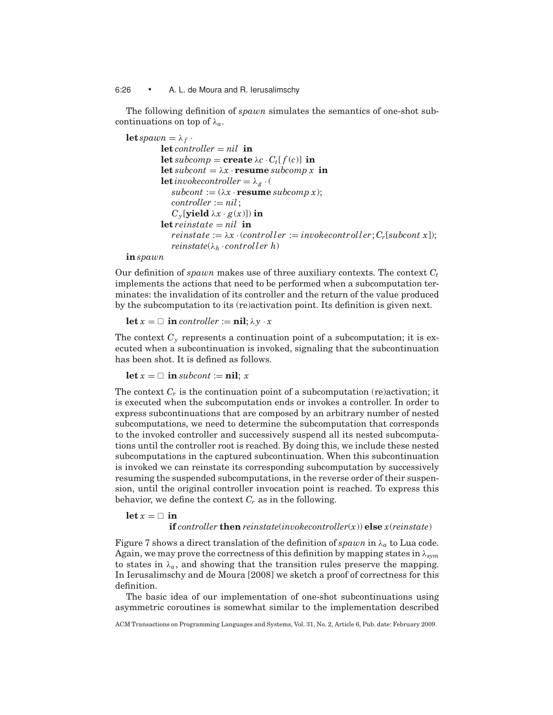### 6:26 • A. L. de Moura and R. Ierusalimschy

The following definition of *spawn* simulates the semantics of one-shot subcontinuations on top of  $\lambda_a$ .

```
let span u = \lambda_f.
        let controller = nil in
        let subcomp = create \lambda c \cdot C_t[f(c)] in
        let subcont = \lambda x \cdotresume subcomp x in
        let invokecontroller = \lambda_g \cdot (subcont := (\lambda x \cdot \textbf{resume} \, subcomp x);controller := nil;
           C<sub>y</sub>[yield λx \cdot g(x)]) in
        let reinstate = nil in

           reinstate(\lambda_h controller h)
```
**in***spawn*

Our definition of  $spann$  makes use of three auxiliary contexts. The context  $C_t$ implements the actions that need to be performed when a subcomputation terminates: the invalidation of its controller and the return of the value produced by the subcomputation to its (re)activation point. Its definition is given next.

 $\textbf{let } x = \Box \textbf{ in } controller := \textbf{nil}; \lambda y \cdot x$ 

The context  $C_y$  represents a continuation point of a subcomputation; it is executed when a subcontinuation is invoked, signaling that the subcontinuation has been shot. It is defined as follows.

 $\textbf{let } x = \Box \textbf{ in } subcont := \textbf{nil}; x$ 

The context  $C_r$  is the continuation point of a subcomputation (re)activation; it is executed when the subcomputation ends or invokes a controller. In order to express subcontinuations that are composed by an arbitrary number of nested subcomputations, we need to determine the subcomputation that corresponds to the invoked controller and successively suspend all its nested subcomputations until the controller root is reached. By doing this, we include these nested subcomputations in the captured subcontinuation. When this subcontinuation is invoked we can reinstate its corresponding subcomputation by successively resuming the suspended subcomputations, in the reverse order of their suspension, until the original controller invocation point is reached. To express this behavior, we define the context  $C_r$  as in the following.

 $\textbf{let } x = \Box \textbf{ in}$ **if** *controller* **then**  $reinstance(invokecontroller(x))$  **else**  $x(reinstance)$ 

Figure 7 shows a direct translation of the definition of  $span n$  in  $\lambda_a$  to Lua code. Again, we may prove the correctness of this definition by mapping states in λ*sym* to states in  $\lambda_a$ , and showing that the transition rules preserve the mapping. In Ierusalimschy and de Moura [2008] we sketch a proof of correctness for this definition.

The basic idea of our implementation of one-shot subcontinuations using asymmetric coroutines is somewhat similar to the implementation described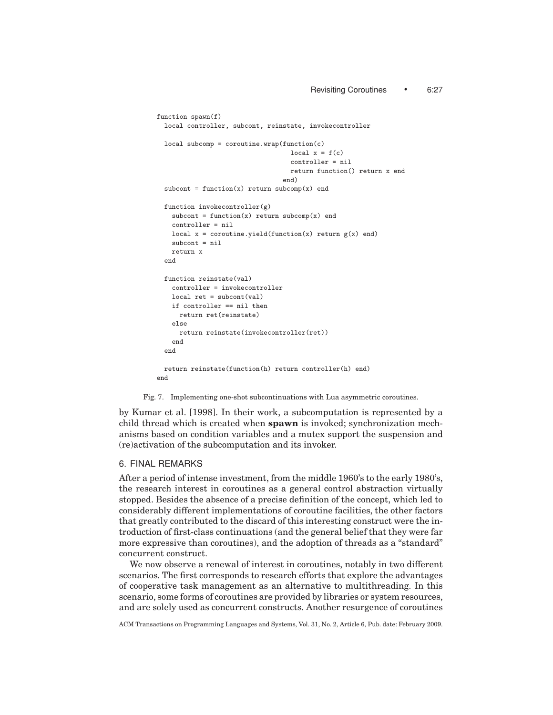```
function spawn(f)
 local controller, subcont, reinstate, invokecontroller
 local subcomp = coroutine.wrap(function(c)
                                   local x = f(c)controller = nil
                                   return function() return x end
                                 end)
  subcont = function(x) return subcomp(x) end
 function invokecontroller(g)
   subcont = function(x) return subcomp(x) end
    controller = nil
   local x = coroutine.yield(function(x) return g(x) end)
    subcont = nil
   return x
  end
 function reinstate(val)
   controller = invokecontroller
   local \tret = subcont(val)if controller == nil then
     return ret(reinstate)
    else
     return reinstate(invokecontroller(ret))
    end
 end
 return reinstate(function(h) return controller(h) end)
end
```
Fig. 7. Implementing one-shot subcontinuations with Lua asymmetric coroutines.

by Kumar et al. [1998]. In their work, a subcomputation is represented by a child thread which is created when **spawn** is invoked; synchronization mechanisms based on condition variables and a mutex support the suspension and (re)activation of the subcomputation and its invoker.

# 6. FINAL REMARKS

After a period of intense investment, from the middle 1960's to the early 1980's, the research interest in coroutines as a general control abstraction virtually stopped. Besides the absence of a precise definition of the concept, which led to considerably different implementations of coroutine facilities, the other factors that greatly contributed to the discard of this interesting construct were the introduction of first-class continuations (and the general belief that they were far more expressive than coroutines), and the adoption of threads as a "standard" concurrent construct.

We now observe a renewal of interest in coroutines, notably in two different scenarios. The first corresponds to research efforts that explore the advantages of cooperative task management as an alternative to multithreading. In this scenario, some forms of coroutines are provided by libraries or system resources, and are solely used as concurrent constructs. Another resurgence of coroutines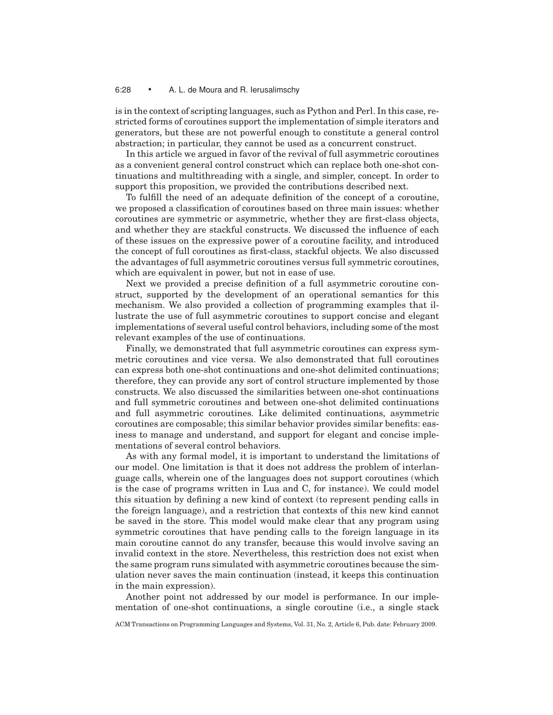### 6:28 • A. L. de Moura and R. Ierusalimschy

is in the context of scripting languages, such as Python and Perl. In this case, restricted forms of coroutines support the implementation of simple iterators and generators, but these are not powerful enough to constitute a general control abstraction; in particular, they cannot be used as a concurrent construct.

In this article we argued in favor of the revival of full asymmetric coroutines as a convenient general control construct which can replace both one-shot continuations and multithreading with a single, and simpler, concept. In order to support this proposition, we provided the contributions described next.

To fulfill the need of an adequate definition of the concept of a coroutine, we proposed a classification of coroutines based on three main issues: whether coroutines are symmetric or asymmetric, whether they are first-class objects, and whether they are stackful constructs. We discussed the influence of each of these issues on the expressive power of a coroutine facility, and introduced the concept of full coroutines as first-class, stackful objects. We also discussed the advantages of full asymmetric coroutines versus full symmetric coroutines, which are equivalent in power, but not in ease of use.

Next we provided a precise definition of a full asymmetric coroutine construct, supported by the development of an operational semantics for this mechanism. We also provided a collection of programming examples that illustrate the use of full asymmetric coroutines to support concise and elegant implementations of several useful control behaviors, including some of the most relevant examples of the use of continuations.

Finally, we demonstrated that full asymmetric coroutines can express symmetric coroutines and vice versa. We also demonstrated that full coroutines can express both one-shot continuations and one-shot delimited continuations; therefore, they can provide any sort of control structure implemented by those constructs. We also discussed the similarities between one-shot continuations and full symmetric coroutines and between one-shot delimited continuations and full asymmetric coroutines. Like delimited continuations, asymmetric coroutines are composable; this similar behavior provides similar benefits: easiness to manage and understand, and support for elegant and concise implementations of several control behaviors.

As with any formal model, it is important to understand the limitations of our model. One limitation is that it does not address the problem of interlanguage calls, wherein one of the languages does not support coroutines (which is the case of programs written in Lua and C, for instance). We could model this situation by defining a new kind of context (to represent pending calls in the foreign language), and a restriction that contexts of this new kind cannot be saved in the store. This model would make clear that any program using symmetric coroutines that have pending calls to the foreign language in its main coroutine cannot do any transfer, because this would involve saving an invalid context in the store. Nevertheless, this restriction does not exist when the same program runs simulated with asymmetric coroutines because the simulation never saves the main continuation (instead, it keeps this continuation in the main expression).

Another point not addressed by our model is performance. In our implementation of one-shot continuations, a single coroutine (i.e., a single stack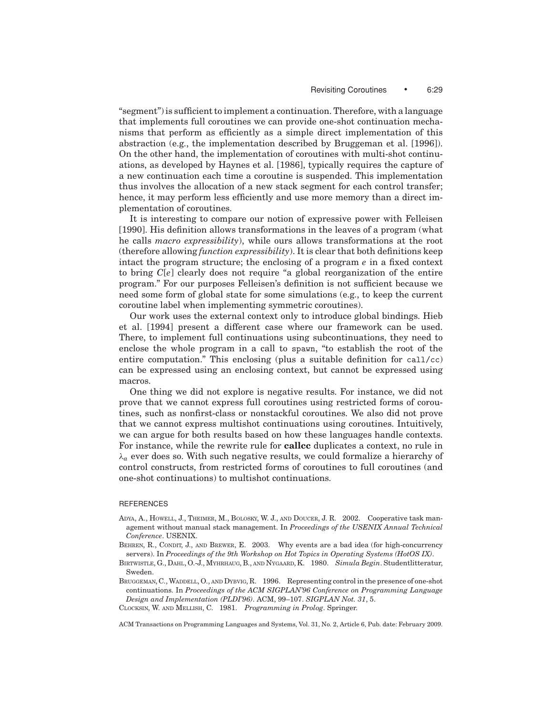"segment") is sufficient to implement a continuation. Therefore, with a language that implements full coroutines we can provide one-shot continuation mechanisms that perform as efficiently as a simple direct implementation of this abstraction (e.g., the implementation described by Bruggeman et al. [1996]). On the other hand, the implementation of coroutines with multi-shot continuations, as developed by Haynes et al. [1986], typically requires the capture of a new continuation each time a coroutine is suspended. This implementation thus involves the allocation of a new stack segment for each control transfer; hence, it may perform less efficiently and use more memory than a direct implementation of coroutines.

It is interesting to compare our notion of expressive power with Felleisen [1990]. His definition allows transformations in the leaves of a program (what he calls *macro expressibility*), while ours allows transformations at the root (therefore allowing *function expressibility*). It is clear that both definitions keep intact the program structure; the enclosing of a program *e* in a fixed context to bring *C*[*e*] clearly does not require "a global reorganization of the entire program." For our purposes Felleisen's definition is not sufficient because we need some form of global state for some simulations (e.g., to keep the current coroutine label when implementing symmetric coroutines).

Our work uses the external context only to introduce global bindings. Hieb et al. [1994] present a different case where our framework can be used. There, to implement full continuations using subcontinuations, they need to enclose the whole program in a call to spawn, "to establish the root of the entire computation." This enclosing (plus a suitable definition for call/cc) can be expressed using an enclosing context, but cannot be expressed using macros.

One thing we did not explore is negative results. For instance, we did not prove that we cannot express full coroutines using restricted forms of coroutines, such as nonfirst-class or nonstackful coroutines. We also did not prove that we cannot express multishot continuations using coroutines. Intuitively, we can argue for both results based on how these languages handle contexts. For instance, while the rewrite rule for **callcc** duplicates a context, no rule in  $\lambda_a$  ever does so. With such negative results, we could formalize a hierarchy of control constructs, from restricted forms of coroutines to full coroutines (and one-shot continuations) to multishot continuations.

#### **REFERENCES**

- ADYA, A., HOWELL, J., THEIMER, M., BOLOSKY, W. J., AND DOUCER, J. R. 2002. Cooperative task management without manual stack management. In *Proceedings of the USENIX Annual Technical Conference*. USENIX.
- BEHREN, R., CONDIT, J., AND BREWER, E. 2003. Why events are a bad idea (for high-concurrency servers). In *Proceedings of the 9th Workshop on Hot Topics in Operating Systems (HotOS IX)*.
- BIRTWISTLE, G., DAHL, O.-J., MYHRHAUG, B., AND NYGAARD, K. 1980. *Simula Begin*. Studentlitteratur, Sweden.
- BRUGGEMAN, C., WADDELL, O., AND DYBVIG, R. 1996. Representing control in the presence of one-shot continuations. In *Proceedings of the ACM SIGPLAN'96 Conference on Programming Language Design and Implementation (PLDI'96)*. ACM, 99–107. *SIGPLAN Not. 31*, 5.

CLOCKSIN, W. AND MELLISH, C. 1981. *Programming in Prolog*. Springer.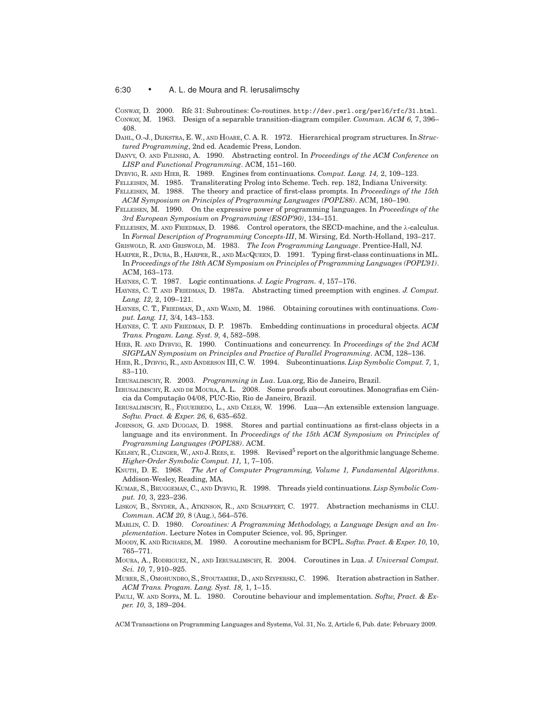#### 6:30 • A. L. de Moura and R. Ierusalimschy

CONWAY, D. 2000. Rfc 31: Subroutines: Co-routines. http://dev.perl.org/perl6/rfc/31.html. CONWAY, M. 1963. Design of a separable transition-diagram compiler. *Commun. ACM 6,* 7, 396– 408.

DAHL, O.-J., DIJKSTRA, E. W., AND HOARE, C. A. R. 1972. Hierarchical program structures. In *Structured Programming*, 2nd ed. Academic Press, London.

DANVY, O. AND FILINSKI, A. 1990. Abstracting control. In *Proceedings of the ACM Conference on LISP and Functional Programming*. ACM, 151–160.

DYBVIG, R. AND HIEB, R. 1989. Engines from continuations. *Comput. Lang. 14,* 2, 109–123.

FELLEISEN, M. 1985. Transliterating Prolog into Scheme. Tech. rep. 182, Indiana University.

- FELLEISEN, M. 1988. The theory and practice of first-class prompts. In *Proceedings of the 15th ACM Symposium on Principles of Programming Languages (POPL'88)*. ACM, 180–190.
- FELLEISEN, M. 1990. On the expressive power of programming languages. In *Proceedings of the 3rd European Symposium on Programming (ESOP'90)*, 134–151.
- FELLEISEN, M. AND FRIEDMAN, D. 1986. Control operators, the SECD-machine, and the λ-calculus. In *Formal Description of Programming Concepts-III*, M. Wirsing, Ed. North-Holland, 193–217. GRISWOLD, R. AND GRISWOLD, M. 1983. *The Icon Programming Language*. Prentice-Hall, NJ.
- HARPER, R., DUBA, B., HARPER, R., AND MACQUEEN, D. 1991. Typing first-class continuations in ML.
- In *Proceedings of the 18th ACM Symposium on Principles of Programming Languages (POPL'91)*. ACM, 163–173.
- HAYNES, C. T. 1987. Logic continuations. *J. Logic Program. 4*, 157–176.
- HAYNES, C. T. AND FRIEDMAN, D. 1987a. Abstracting timed preemption with engines. *J. Comput. Lang. 12,* 2, 109–121.
- HAYNES, C. T., FRIEDMAN, D., AND WAND, M. 1986. Obtaining coroutines with continuations. *Comput. Lang. 11,* 3/4, 143–153.
- HAYNES, C. T. AND FRIEDMAN, D. P. 1987b. Embedding continuations in procedural objects. *ACM Trans. Progam. Lang. Syst. 9,* 4, 582–598.
- HIEB, R. AND DYBVIG, R. 1990. Continuations and concurrency. In *Proceedings of the 2nd ACM SIGPLAN Symposium on Principles and Practice of Parallel Programming*. ACM, 128–136.
- HIEB, R., DYBVIG, R., AND ANDERSON III, C. W. 1994. Subcontinuations. *Lisp Symbolic Comput. 7,* 1, 83–110.
- IERUSALIMSCHY, R. 2003. *Programming in Lua*. Lua.org, Rio de Janeiro, Brazil.
- IERUSALIMSCHY, R. AND DE MOURA, A. L. 2008. Some proofs about coroutines. Monografias em Ciencia da Computação 04/08, PUC-Rio, Rio de Janeiro, Brazil.
- IERUSALIMSCHY, R., FIGUEIREDO, L., AND CELES, W. 1996. Lua—An extensible extension language. *Softw. Pract. & Exper. 26,* 6, 635–652.
- JOHNSON, G. AND DUGGAN, D. 1988. Stores and partial continuations as first-class objects in a language and its environment. In *Proceedings of the 15th ACM Symposium on Principles of Programming Languages (POPL'88)*. ACM.
- KELSEY, R., CLINGER, W., AND J. REES, E. 1998. Revised<sup>5</sup> report on the algorithmic language Scheme. *Higher-Order Symbolic Comput. 11,* 1, 7–105.
- KNUTH, D. E. 1968. *The Art of Computer Programming, Volume 1, Fundamental Algorithms*. Addison-Wesley, Reading, MA.
- KUMAR, S., BRUGGEMAN, C., AND DYBVIG, R. 1998. Threads yield continuations. *Lisp Symbolic Comput. 10,* 3, 223–236.
- LISKOV, B., SNYDER, A., ATKINSON, R., AND SCHAFFERT, C. 1977. Abstraction mechanisms in CLU. *Commun. ACM 20,* 8 (Aug.), 564–576.
- MARLIN, C. D. 1980. *Coroutines: A Programming Methodology, a Language Design and an Implementation*. Lecture Notes in Computer Science, vol. 95, Springer.
- MOODY, K. AND RICHARDS, M. 1980. A coroutine mechanism for BCPL. *Softw. Pract. & Exper. 10,* 10, 765–771.
- MOURA, A., RODRIGUEZ, N., AND IERUSALIMSCHY, R. 2004. Coroutines in Lua. *J. Universal Comput. Sci. 10,* 7, 910–925.
- MURER, S., OMOHUNDRO, S., STOUTAMIRE, D., AND SZYPERSKI, C. 1996. Iteration abstraction in Sather. *ACM Trans. Progam. Lang. Syst. 18,* 1, 1–15.
- PAULI, W. AND SOFFA, M. L. 1980. Coroutine behaviour and implementation. Softw, Pract. & Ex*per. 10,* 3, 189–204.